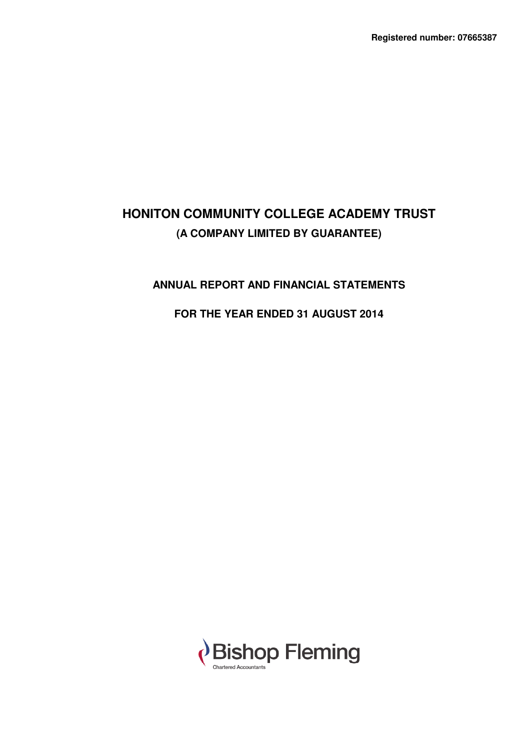# **ANNUAL REPORT AND FINANCIAL STATEMENTS**

# **FOR THE YEAR ENDED 31 AUGUST 2014**

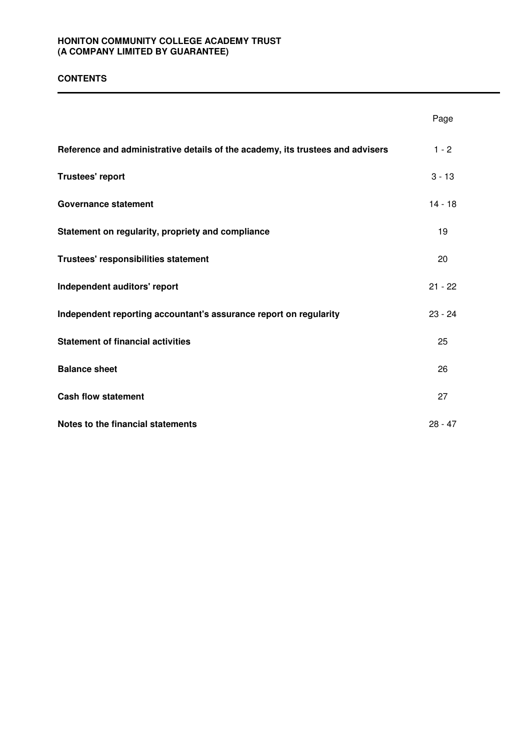### **CONTENTS**

|                                                                                | Page      |
|--------------------------------------------------------------------------------|-----------|
| Reference and administrative details of the academy, its trustees and advisers | $1 - 2$   |
| Trustees' report                                                               | $3 - 13$  |
| <b>Governance statement</b>                                                    | $14 - 18$ |
| Statement on regularity, propriety and compliance                              | 19        |
| Trustees' responsibilities statement                                           | 20        |
| Independent auditors' report                                                   | $21 - 22$ |
| Independent reporting accountant's assurance report on regularity              | $23 - 24$ |
| <b>Statement of financial activities</b>                                       | 25        |
| <b>Balance sheet</b>                                                           | 26        |
| <b>Cash flow statement</b>                                                     | 27        |
| Notes to the financial statements                                              | $28 - 47$ |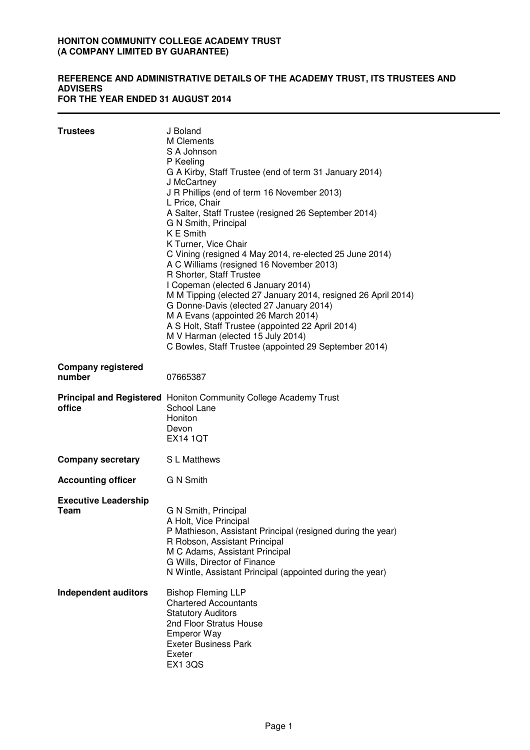#### **REFERENCE AND ADMINISTRATIVE DETAILS OF THE ACADEMY TRUST, ITS TRUSTEES AND ADVISERS FOR THE YEAR ENDED 31 AUGUST 2014**

| <b>Trustees</b>                            | J Boland<br>M Clements<br>S A Johnson<br>P Keeling<br>G A Kirby, Staff Trustee (end of term 31 January 2014)<br>J McCartney<br>J R Phillips (end of term 16 November 2013)<br>L Price, Chair<br>A Salter, Staff Trustee (resigned 26 September 2014)<br>G N Smith, Principal<br>K E Smith<br>K Turner, Vice Chair<br>C Vining (resigned 4 May 2014, re-elected 25 June 2014)<br>A C Williams (resigned 16 November 2013)<br>R Shorter, Staff Trustee<br>I Copeman (elected 6 January 2014)<br>M M Tipping (elected 27 January 2014, resigned 26 April 2014)<br>G Donne-Davis (elected 27 January 2014)<br>M A Evans (appointed 26 March 2014)<br>A S Holt, Staff Trustee (appointed 22 April 2014)<br>M V Harman (elected 15 July 2014)<br>C Bowles, Staff Trustee (appointed 29 September 2014) |
|--------------------------------------------|--------------------------------------------------------------------------------------------------------------------------------------------------------------------------------------------------------------------------------------------------------------------------------------------------------------------------------------------------------------------------------------------------------------------------------------------------------------------------------------------------------------------------------------------------------------------------------------------------------------------------------------------------------------------------------------------------------------------------------------------------------------------------------------------------|
| <b>Company registered</b><br>number        | 07665387                                                                                                                                                                                                                                                                                                                                                                                                                                                                                                                                                                                                                                                                                                                                                                                         |
| office                                     | <b>Principal and Registered</b> Honiton Community College Academy Trust<br>School Lane<br>Honiton<br>Devon<br><b>EX14 1QT</b>                                                                                                                                                                                                                                                                                                                                                                                                                                                                                                                                                                                                                                                                    |
| <b>Company secretary</b>                   | S L Matthews                                                                                                                                                                                                                                                                                                                                                                                                                                                                                                                                                                                                                                                                                                                                                                                     |
| <b>Accounting officer</b>                  | <b>G N Smith</b>                                                                                                                                                                                                                                                                                                                                                                                                                                                                                                                                                                                                                                                                                                                                                                                 |
| <b>Executive Leadership</b><br><b>Team</b> | G N Smith, Principal<br>A Holt, Vice Principal<br>P Mathieson, Assistant Principal (resigned during the year)<br>R Robson, Assistant Principal<br>M C Adams, Assistant Principal<br>G Wills, Director of Finance<br>N Wintle, Assistant Principal (appointed during the year)                                                                                                                                                                                                                                                                                                                                                                                                                                                                                                                    |
| <b>Independent auditors</b>                | <b>Bishop Fleming LLP</b><br><b>Chartered Accountants</b><br><b>Statutory Auditors</b><br>2nd Floor Stratus House<br><b>Emperor Way</b><br><b>Exeter Business Park</b><br>Exeter<br><b>EX1 3QS</b>                                                                                                                                                                                                                                                                                                                                                                                                                                                                                                                                                                                               |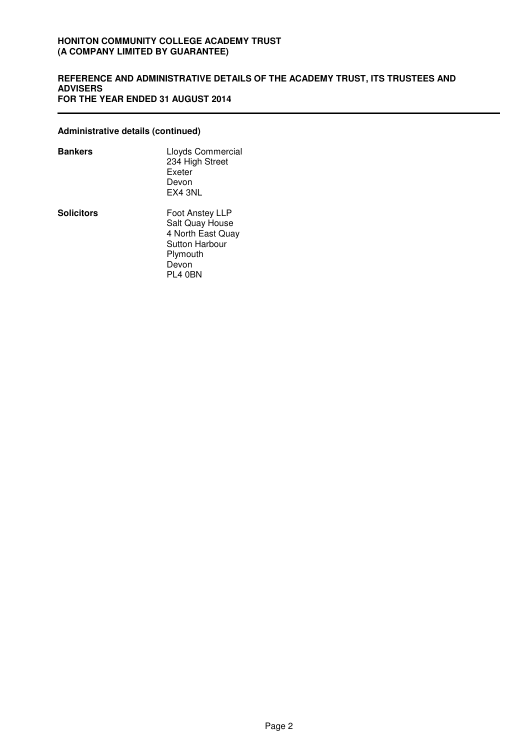### **REFERENCE AND ADMINISTRATIVE DETAILS OF THE ACADEMY TRUST, ITS TRUSTEES AND ADVISERS FOR THE YEAR ENDED 31 AUGUST 2014**

### **Administrative details (continued)**

| Bankers    | Lloyds Commercial<br>234 High Street<br>Exeter<br>Devon<br>EX4 3NL                                               |
|------------|------------------------------------------------------------------------------------------------------------------|
| Solicitors | Foot Anstey LLP<br>Salt Quay House<br>4 North East Quay<br><b>Sutton Harbour</b><br>Plymouth<br>Devon<br>PL4 0BN |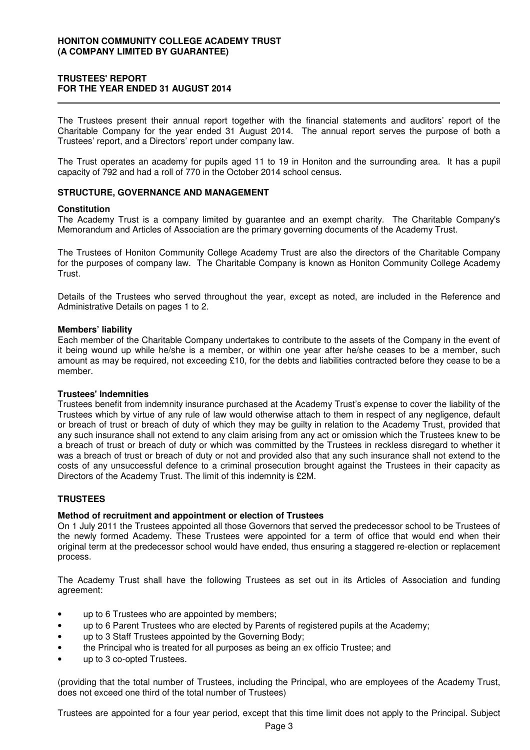### **TRUSTEES' REPORT FOR THE YEAR ENDED 31 AUGUST 2014**

The Trustees present their annual report together with the financial statements and auditors' report of the Charitable Company for the year ended 31 August 2014. The annual report serves the purpose of both a Trustees' report, and a Directors' report under company law.

The Trust operates an academy for pupils aged 11 to 19 in Honiton and the surrounding area. It has a pupil capacity of 792 and had a roll of 770 in the October 2014 school census.

#### **STRUCTURE, GOVERNANCE AND MANAGEMENT**

#### **Constitution**

The Academy Trust is a company limited by guarantee and an exempt charity. The Charitable Company's Memorandum and Articles of Association are the primary governing documents of the Academy Trust.

The Trustees of Honiton Community College Academy Trust are also the directors of the Charitable Company for the purposes of company law. The Charitable Company is known as Honiton Community College Academy Trust.

Details of the Trustees who served throughout the year, except as noted, are included in the Reference and Administrative Details on pages 1 to 2.

#### **Members' liability**

Each member of the Charitable Company undertakes to contribute to the assets of the Company in the event of it being wound up while he/she is a member, or within one year after he/she ceases to be a member, such amount as may be required, not exceeding £10, for the debts and liabilities contracted before they cease to be a member.

### **Trustees' Indemnities**

Trustees benefit from indemnity insurance purchased at the Academy Trust's expense to cover the liability of the Trustees which by virtue of any rule of law would otherwise attach to them in respect of any negligence, default or breach of trust or breach of duty of which they may be guilty in relation to the Academy Trust, provided that any such insurance shall not extend to any claim arising from any act or omission which the Trustees knew to be a breach of trust or breach of duty or which was committed by the Trustees in reckless disregard to whether it was a breach of trust or breach of duty or not and provided also that any such insurance shall not extend to the costs of any unsuccessful defence to a criminal prosecution brought against the Trustees in their capacity as Directors of the Academy Trust. The limit of this indemnity is £2M.

#### **TRUSTEES**

#### **Method of recruitment and appointment or election of Trustees**

On 1 July 2011 the Trustees appointed all those Governors that served the predecessor school to be Trustees of the newly formed Academy. These Trustees were appointed for a term of office that would end when their original term at the predecessor school would have ended, thus ensuring a staggered re-election or replacement process.

The Academy Trust shall have the following Trustees as set out in its Articles of Association and funding agreement:

- up to 6 Trustees who are appointed by members;
- up to 6 Parent Trustees who are elected by Parents of registered pupils at the Academy;
- up to 3 Staff Trustees appointed by the Governing Body;
- the Principal who is treated for all purposes as being an ex officio Trustee; and
- up to 3 co-opted Trustees.

(providing that the total number of Trustees, including the Principal, who are employees of the Academy Trust, does not exceed one third of the total number of Trustees)

Trustees are appointed for a four year period, except that this time limit does not apply to the Principal. Subject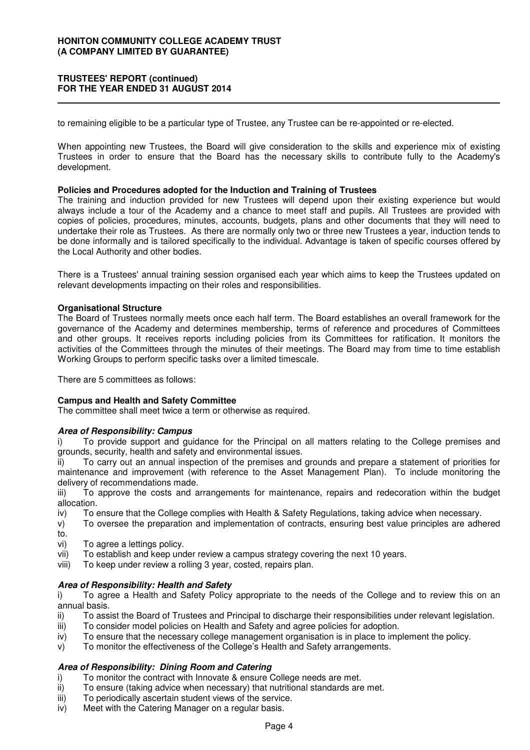### **TRUSTEES' REPORT (continued) FOR THE YEAR ENDED 31 AUGUST 2014**

to remaining eligible to be a particular type of Trustee, any Trustee can be re-appointed or re-elected.

When appointing new Trustees, the Board will give consideration to the skills and experience mix of existing Trustees in order to ensure that the Board has the necessary skills to contribute fully to the Academy's development.

#### **Policies and Procedures adopted for the Induction and Training of Trustees**

The training and induction provided for new Trustees will depend upon their existing experience but would always include a tour of the Academy and a chance to meet staff and pupils. All Trustees are provided with copies of policies, procedures, minutes, accounts, budgets, plans and other documents that they will need to undertake their role as Trustees. As there are normally only two or three new Trustees a year, induction tends to be done informally and is tailored specifically to the individual. Advantage is taken of specific courses offered by the Local Authority and other bodies.

There is a Trustees' annual training session organised each year which aims to keep the Trustees updated on relevant developments impacting on their roles and responsibilities.

#### **Organisational Structure**

The Board of Trustees normally meets once each half term. The Board establishes an overall framework for the governance of the Academy and determines membership, terms of reference and procedures of Committees and other groups. It receives reports including policies from its Committees for ratification. It monitors the activities of the Committees through the minutes of their meetings. The Board may from time to time establish Working Groups to perform specific tasks over a limited timescale.

There are 5 committees as follows:

#### **Campus and Health and Safety Committee**

The committee shall meet twice a term or otherwise as required.

#### **Area of Responsibility: Campus**

i) To provide support and guidance for the Principal on all matters relating to the College premises and grounds, security, health and safety and environmental issues.

ii) To carry out an annual inspection of the premises and grounds and prepare a statement of priorities for maintenance and improvement (with reference to the Asset Management Plan). To include monitoring the delivery of recommendations made.

iii) To approve the costs and arrangements for maintenance, repairs and redecoration within the budget allocation.

- iv) To ensure that the College complies with Health & Safety Regulations, taking advice when necessary.
- v) To oversee the preparation and implementation of contracts, ensuring best value principles are adhered to.
- vi) To agree a lettings policy.
- vii) To establish and keep under review a campus strategy covering the next 10 years.
- viii) To keep under review a rolling 3 year, costed, repairs plan.

### **Area of Responsibility: Health and Safety**

i) To agree a Health and Safety Policy appropriate to the needs of the College and to review this on an annual basis.

- ii) To assist the Board of Trustees and Principal to discharge their responsibilities under relevant legislation.
- iii) To consider model policies on Health and Safety and agree policies for adoption.
- iv) To ensure that the necessary college management organisation is in place to implement the policy.
- v) To monitor the effectiveness of the College's Health and Safety arrangements.

### **Area of Responsibility: Dining Room and Catering**

- i) To monitor the contract with Innovate & ensure College needs are met.<br>ii) To ensure (taking advice when necessary) that nutritional standards are
- To ensure (taking advice when necessary) that nutritional standards are met.
- iii) To periodically ascertain student views of the service.
- iv) Meet with the Catering Manager on a regular basis.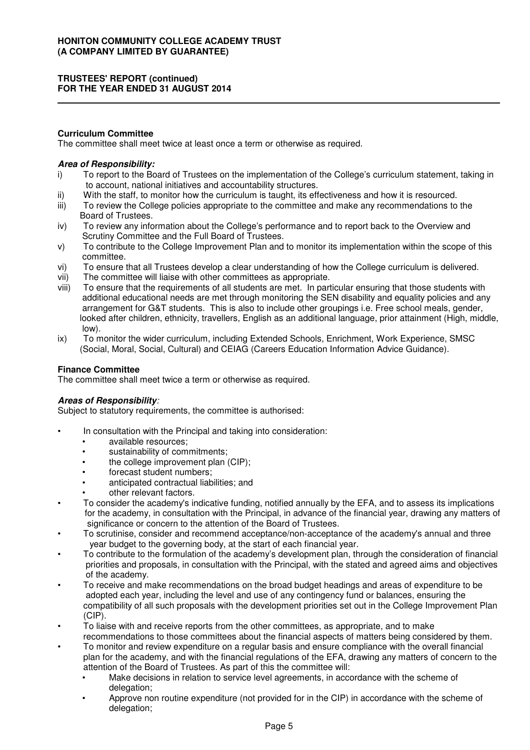### **TRUSTEES' REPORT (continued) FOR THE YEAR ENDED 31 AUGUST 2014**

### **Curriculum Committee**

The committee shall meet twice at least once a term or otherwise as required.

### **Area of Responsibility:**

- i) To report to the Board of Trustees on the implementation of the College's curriculum statement, taking in to account, national initiatives and accountability structures.
- ii) With the staff, to monitor how the curriculum is taught, its effectiveness and how it is resourced.
- iii) To review the College policies appropriate to the committee and make any recommendations to the Board of Trustees.
- iv) To review any information about the College's performance and to report back to the Overview and Scrutiny Committee and the Full Board of Trustees.
- v) To contribute to the College Improvement Plan and to monitor its implementation within the scope of this committee.
- vi) To ensure that all Trustees develop a clear understanding of how the College curriculum is delivered.
- vii) The committee will liaise with other committees as appropriate.
- viii) To ensure that the requirements of all students are met. In particular ensuring that those students with additional educational needs are met through monitoring the SEN disability and equality policies and any arrangement for G&T students. This is also to include other groupings i.e. Free school meals, gender, looked after children, ethnicity, travellers, English as an additional language, prior attainment (High, middle, low).
- ix) To monitor the wider curriculum, including Extended Schools, Enrichment, Work Experience, SMSC (Social, Moral, Social, Cultural) and CEIAG (Careers Education Information Advice Guidance).

### **Finance Committee**

The committee shall meet twice a term or otherwise as required.

### **Areas of Responsibility**:

Subject to statutory requirements, the committee is authorised:

- In consultation with the Principal and taking into consideration:
	- available resources;
	- sustainability of commitments;
	- the college improvement plan (CIP);
	- forecast student numbers;
	- anticipated contractual liabilities; and
	- other relevant factors.
- To consider the academy's indicative funding, notified annually by the EFA, and to assess its implications for the academy, in consultation with the Principal, in advance of the financial year, drawing any matters of significance or concern to the attention of the Board of Trustees.
- To scrutinise, consider and recommend acceptance/non-acceptance of the academy's annual and three year budget to the governing body, at the start of each financial year.
- To contribute to the formulation of the academy's development plan, through the consideration of financial priorities and proposals, in consultation with the Principal, with the stated and agreed aims and objectives of the academy.
- To receive and make recommendations on the broad budget headings and areas of expenditure to be adopted each year, including the level and use of any contingency fund or balances, ensuring the compatibility of all such proposals with the development priorities set out in the College Improvement Plan (CIP).
- To liaise with and receive reports from the other committees, as appropriate, and to make recommendations to those committees about the financial aspects of matters being considered by them.
- To monitor and review expenditure on a regular basis and ensure compliance with the overall financial plan for the academy, and with the financial regulations of the EFA, drawing any matters of concern to the attention of the Board of Trustees. As part of this the committee will:
	- Make decisions in relation to service level agreements, in accordance with the scheme of delegation;
	- Approve non routine expenditure (not provided for in the CIP) in accordance with the scheme of delegation;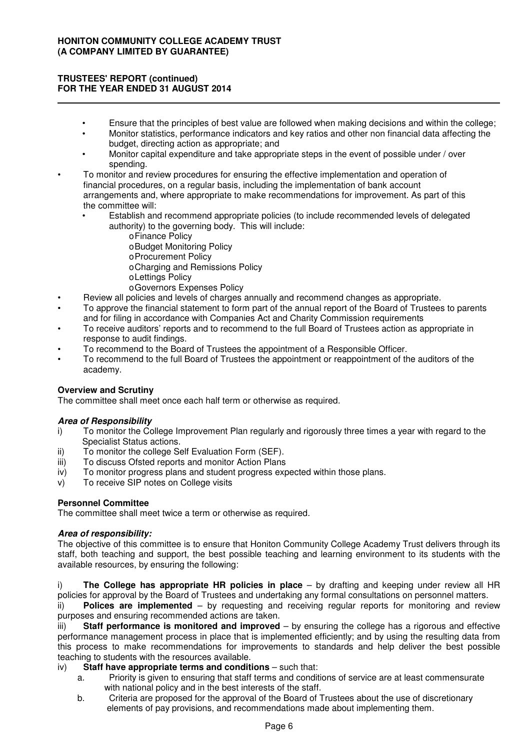### **TRUSTEES' REPORT (continued) FOR THE YEAR ENDED 31 AUGUST 2014**

- Ensure that the principles of best value are followed when making decisions and within the college;
- Monitor statistics, performance indicators and key ratios and other non financial data affecting the budget, directing action as appropriate; and
- Monitor capital expenditure and take appropriate steps in the event of possible under / over spending.
- To monitor and review procedures for ensuring the effective implementation and operation of financial procedures, on a regular basis, including the implementation of bank account arrangements and, where appropriate to make recommendations for improvement. As part of this the committee will:
	- Establish and recommend appropriate policies (to include recommended levels of delegated authority) to the governing body. This will include:
		- oFinance Policy
		- oBudget Monitoring Policy
		- oProcurement Policy
		- oCharging and Remissions Policy
		- oLettings Policy
		- oGovernors Expenses Policy
- Review all policies and levels of charges annually and recommend changes as appropriate.
- To approve the financial statement to form part of the annual report of the Board of Trustees to parents and for filing in accordance with Companies Act and Charity Commission requirements
- To receive auditors' reports and to recommend to the full Board of Trustees action as appropriate in response to audit findings.
- To recommend to the Board of Trustees the appointment of a Responsible Officer.
- To recommend to the full Board of Trustees the appointment or reappointment of the auditors of the academy.

### **Overview and Scrutiny**

The committee shall meet once each half term or otherwise as required.

### **Area of Responsibility**

- i) To monitor the College Improvement Plan regularly and rigorously three times a year with regard to the Specialist Status actions.
- ii) To monitor the college Self Evaluation Form (SEF).
- iii) To discuss Ofsted reports and monitor Action Plans
- iv) To monitor progress plans and student progress expected within those plans.
- v) To receive SIP notes on College visits

### **Personnel Committee**

The committee shall meet twice a term or otherwise as required.

### **Area of responsibility:**

The objective of this committee is to ensure that Honiton Community College Academy Trust delivers through its staff, both teaching and support, the best possible teaching and learning environment to its students with the available resources, by ensuring the following:

i) **The College has appropriate HR policies in place** – by drafting and keeping under review all HR policies for approval by the Board of Trustees and undertaking any formal consultations on personnel matters.

ii) **Polices are implemented** – by requesting and receiving regular reports for monitoring and review purposes and ensuring recommended actions are taken.

iii) **Staff performance is monitored and improved** – by ensuring the college has a rigorous and effective performance management process in place that is implemented efficiently; and by using the resulting data from this process to make recommendations for improvements to standards and help deliver the best possible teaching to students with the resources available.

### iv) **Staff have appropriate terms and conditions** – such that:

- a. Priority is given to ensuring that staff terms and conditions of service are at least commensurate with national policy and in the best interests of the staff.
- b. Criteria are proposed for the approval of the Board of Trustees about the use of discretionary elements of pay provisions, and recommendations made about implementing them.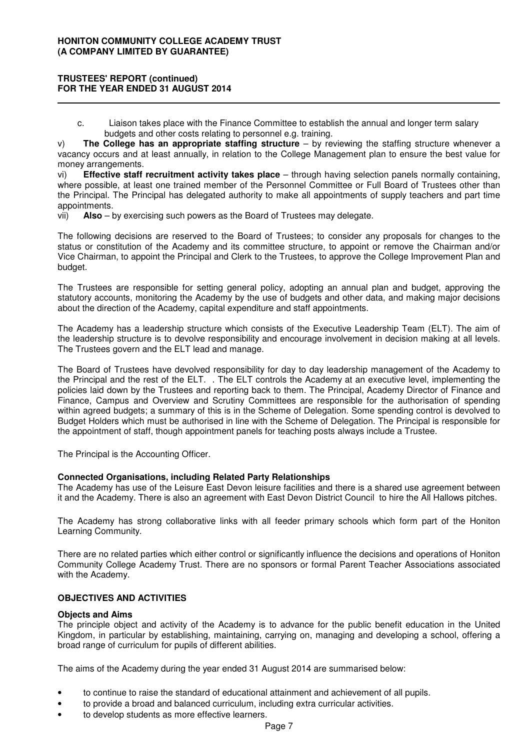### **TRUSTEES' REPORT (continued) FOR THE YEAR ENDED 31 AUGUST 2014**

 c. Liaison takes place with the Finance Committee to establish the annual and longer term salary budgets and other costs relating to personnel e.g. training.

v) **The College has an appropriate staffing structure** – by reviewing the staffing structure whenever a vacancy occurs and at least annually, in relation to the College Management plan to ensure the best value for money arrangements.

vi) **Effective staff recruitment activity takes place** – through having selection panels normally containing, where possible, at least one trained member of the Personnel Committee or Full Board of Trustees other than the Principal. The Principal has delegated authority to make all appointments of supply teachers and part time appointments.

vii) **Also** – by exercising such powers as the Board of Trustees may delegate.

The following decisions are reserved to the Board of Trustees; to consider any proposals for changes to the status or constitution of the Academy and its committee structure, to appoint or remove the Chairman and/or Vice Chairman, to appoint the Principal and Clerk to the Trustees, to approve the College Improvement Plan and budget.

The Trustees are responsible for setting general policy, adopting an annual plan and budget, approving the statutory accounts, monitoring the Academy by the use of budgets and other data, and making major decisions about the direction of the Academy, capital expenditure and staff appointments.

The Academy has a leadership structure which consists of the Executive Leadership Team (ELT). The aim of the leadership structure is to devolve responsibility and encourage involvement in decision making at all levels. The Trustees govern and the ELT lead and manage.

The Board of Trustees have devolved responsibility for day to day leadership management of the Academy to the Principal and the rest of the ELT. . The ELT controls the Academy at an executive level, implementing the policies laid down by the Trustees and reporting back to them. The Principal, Academy Director of Finance and Finance, Campus and Overview and Scrutiny Committees are responsible for the authorisation of spending within agreed budgets; a summary of this is in the Scheme of Delegation. Some spending control is devolved to Budget Holders which must be authorised in line with the Scheme of Delegation. The Principal is responsible for the appointment of staff, though appointment panels for teaching posts always include a Trustee.

The Principal is the Accounting Officer.

### **Connected Organisations, including Related Party Relationships**

The Academy has use of the Leisure East Devon leisure facilities and there is a shared use agreement between it and the Academy. There is also an agreement with East Devon District Council to hire the All Hallows pitches.

The Academy has strong collaborative links with all feeder primary schools which form part of the Honiton Learning Community.

There are no related parties which either control or significantly influence the decisions and operations of Honiton Community College Academy Trust. There are no sponsors or formal Parent Teacher Associations associated with the Academy.

### **OBJECTIVES AND ACTIVITIES**

#### **Objects and Aims**

The principle object and activity of the Academy is to advance for the public benefit education in the United Kingdom, in particular by establishing, maintaining, carrying on, managing and developing a school, offering a broad range of curriculum for pupils of different abilities.

The aims of the Academy during the year ended 31 August 2014 are summarised below:

- to continue to raise the standard of educational attainment and achievement of all pupils.
- to provide a broad and balanced curriculum, including extra curricular activities.
- to develop students as more effective learners.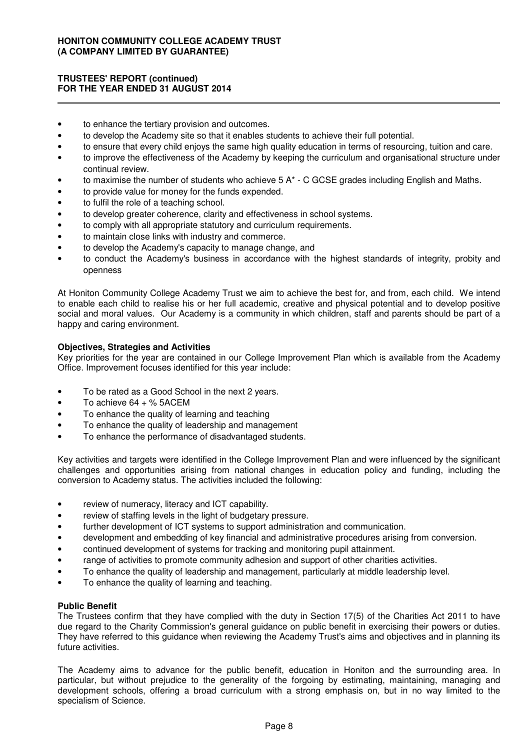### **TRUSTEES' REPORT (continued) FOR THE YEAR ENDED 31 AUGUST 2014**

- to enhance the tertiary provision and outcomes.
- to develop the Academy site so that it enables students to achieve their full potential.
- to ensure that every child enjoys the same high quality education in terms of resourcing, tuition and care.
- to improve the effectiveness of the Academy by keeping the curriculum and organisational structure under continual review.
- to maximise the number of students who achieve 5 A\* C GCSE grades including English and Maths.
- to provide value for money for the funds expended.
- to fulfil the role of a teaching school.
- to develop greater coherence, clarity and effectiveness in school systems.
- to comply with all appropriate statutory and curriculum requirements.
- to maintain close links with industry and commerce.
- to develop the Academy's capacity to manage change, and
- to conduct the Academy's business in accordance with the highest standards of integrity, probity and openness

At Honiton Community College Academy Trust we aim to achieve the best for, and from, each child. We intend to enable each child to realise his or her full academic, creative and physical potential and to develop positive social and moral values. Our Academy is a community in which children, staff and parents should be part of a happy and caring environment.

### **Objectives, Strategies and Activities**

Key priorities for the year are contained in our College Improvement Plan which is available from the Academy Office. Improvement focuses identified for this year include:

- To be rated as a Good School in the next 2 years.
- To achieve  $64 + %$  5ACEM
- To enhance the quality of learning and teaching
- To enhance the quality of leadership and management
- To enhance the performance of disadvantaged students.

Key activities and targets were identified in the College Improvement Plan and were influenced by the significant challenges and opportunities arising from national changes in education policy and funding, including the conversion to Academy status. The activities included the following:

- review of numeracy, literacy and ICT capability.
- review of staffing levels in the light of budgetary pressure.
- further development of ICT systems to support administration and communication.
- development and embedding of key financial and administrative procedures arising from conversion.
- continued development of systems for tracking and monitoring pupil attainment.
- range of activities to promote community adhesion and support of other charities activities.
- To enhance the quality of leadership and management, particularly at middle leadership level.
- To enhance the quality of learning and teaching.

#### **Public Benefit**

The Trustees confirm that they have complied with the duty in Section 17(5) of the Charities Act 2011 to have due regard to the Charity Commission's general guidance on public benefit in exercising their powers or duties. They have referred to this guidance when reviewing the Academy Trust's aims and objectives and in planning its future activities.

The Academy aims to advance for the public benefit, education in Honiton and the surrounding area. In particular, but without prejudice to the generality of the forgoing by estimating, maintaining, managing and development schools, offering a broad curriculum with a strong emphasis on, but in no way limited to the specialism of Science.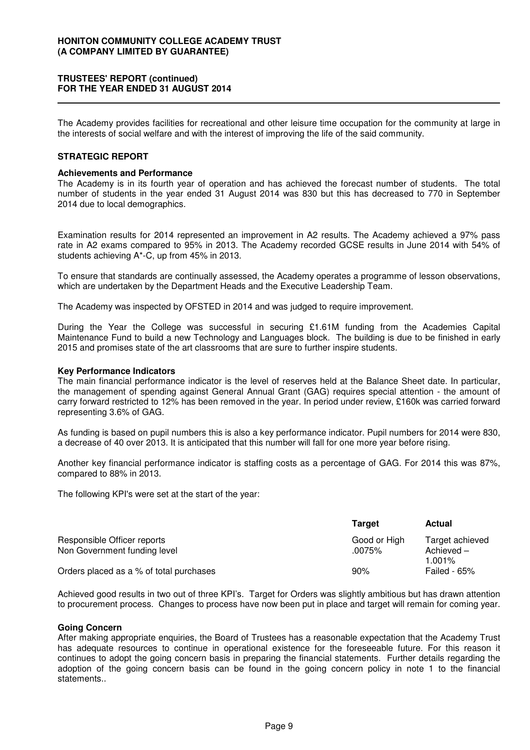### **TRUSTEES' REPORT (continued) FOR THE YEAR ENDED 31 AUGUST 2014**

The Academy provides facilities for recreational and other leisure time occupation for the community at large in the interests of social welfare and with the interest of improving the life of the said community.

### **STRATEGIC REPORT**

#### **Achievements and Performance**

The Academy is in its fourth year of operation and has achieved the forecast number of students. The total number of students in the year ended 31 August 2014 was 830 but this has decreased to 770 in September 2014 due to local demographics.

Examination results for 2014 represented an improvement in A2 results. The Academy achieved a 97% pass rate in A2 exams compared to 95% in 2013. The Academy recorded GCSE results in June 2014 with 54% of students achieving A\*-C, up from 45% in 2013.

To ensure that standards are continually assessed, the Academy operates a programme of lesson observations, which are undertaken by the Department Heads and the Executive Leadership Team.

The Academy was inspected by OFSTED in 2014 and was judged to require improvement.

During the Year the College was successful in securing £1.61M funding from the Academies Capital Maintenance Fund to build a new Technology and Languages block. The building is due to be finished in early 2015 and promises state of the art classrooms that are sure to further inspire students.

#### **Key Performance Indicators**

The main financial performance indicator is the level of reserves held at the Balance Sheet date. In particular, the management of spending against General Annual Grant (GAG) requires special attention - the amount of carry forward restricted to 12% has been removed in the year. In period under review, £160k was carried forward representing 3.6% of GAG.

As funding is based on pupil numbers this is also a key performance indicator. Pupil numbers for 2014 were 830, a decrease of 40 over 2013. It is anticipated that this number will fall for one more year before rising.

Another key financial performance indicator is staffing costs as a percentage of GAG. For 2014 this was 87%, compared to 88% in 2013.

The following KPI's were set at the start of the year:

|                                                             | Target                    | <b>Actual</b>                                |
|-------------------------------------------------------------|---------------------------|----------------------------------------------|
| Responsible Officer reports<br>Non Government funding level | Good or High<br>$.0075\%$ | Target achieved<br>Achieved $-$<br>$1.001\%$ |
| Orders placed as a % of total purchases                     | 90%                       | Failed - $65%$                               |

Achieved good results in two out of three KPI's. Target for Orders was slightly ambitious but has drawn attention to procurement process. Changes to process have now been put in place and target will remain for coming year.

#### **Going Concern**

After making appropriate enquiries, the Board of Trustees has a reasonable expectation that the Academy Trust has adequate resources to continue in operational existence for the foreseeable future. For this reason it continues to adopt the going concern basis in preparing the financial statements. Further details regarding the adoption of the going concern basis can be found in the going concern policy in note 1 to the financial statements..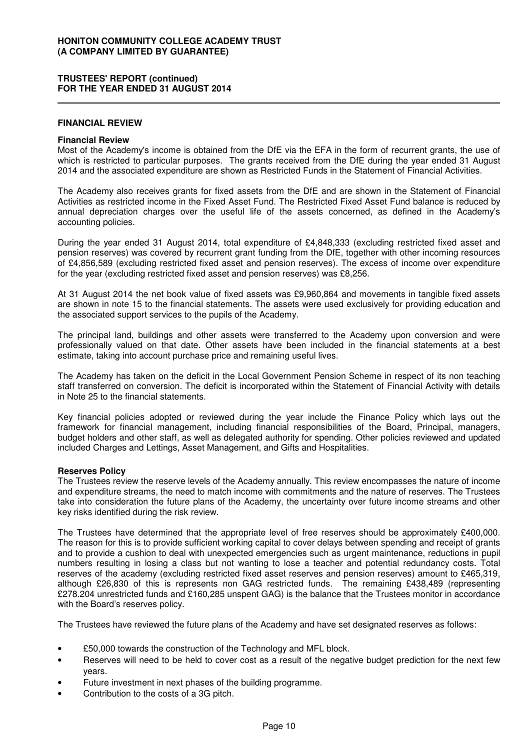### **TRUSTEES' REPORT (continued) FOR THE YEAR ENDED 31 AUGUST 2014**

#### **FINANCIAL REVIEW**

#### **Financial Review**

Most of the Academy's income is obtained from the DfE via the EFA in the form of recurrent grants, the use of which is restricted to particular purposes. The grants received from the DfE during the year ended 31 August 2014 and the associated expenditure are shown as Restricted Funds in the Statement of Financial Activities.

The Academy also receives grants for fixed assets from the DfE and are shown in the Statement of Financial Activities as restricted income in the Fixed Asset Fund. The Restricted Fixed Asset Fund balance is reduced by annual depreciation charges over the useful life of the assets concerned, as defined in the Academy's accounting policies.

During the year ended 31 August 2014, total expenditure of £4,848,333 (excluding restricted fixed asset and pension reserves) was covered by recurrent grant funding from the DfE, together with other incoming resources of £4,856,589 (excluding restricted fixed asset and pension reserves). The excess of income over expenditure for the year (excluding restricted fixed asset and pension reserves) was £8,256.

At 31 August 2014 the net book value of fixed assets was £9,960,864 and movements in tangible fixed assets are shown in note 15 to the financial statements. The assets were used exclusively for providing education and the associated support services to the pupils of the Academy.

The principal land, buildings and other assets were transferred to the Academy upon conversion and were professionally valued on that date. Other assets have been included in the financial statements at a best estimate, taking into account purchase price and remaining useful lives.

The Academy has taken on the deficit in the Local Government Pension Scheme in respect of its non teaching staff transferred on conversion. The deficit is incorporated within the Statement of Financial Activity with details in Note 25 to the financial statements.

Key financial policies adopted or reviewed during the year include the Finance Policy which lays out the framework for financial management, including financial responsibilities of the Board, Principal, managers, budget holders and other staff, as well as delegated authority for spending. Other policies reviewed and updated included Charges and Lettings, Asset Management, and Gifts and Hospitalities.

#### **Reserves Policy**

The Trustees review the reserve levels of the Academy annually. This review encompasses the nature of income and expenditure streams, the need to match income with commitments and the nature of reserves. The Trustees take into consideration the future plans of the Academy, the uncertainty over future income streams and other key risks identified during the risk review.

The Trustees have determined that the appropriate level of free reserves should be approximately £400,000. The reason for this is to provide sufficient working capital to cover delays between spending and receipt of grants and to provide a cushion to deal with unexpected emergencies such as urgent maintenance, reductions in pupil numbers resulting in losing a class but not wanting to lose a teacher and potential redundancy costs. Total reserves of the academy (excluding restricted fixed asset reserves and pension reserves) amount to £465,319, although £26,830 of this is represents non GAG restricted funds. The remaining £438,489 (representing £278.204 unrestricted funds and £160,285 unspent GAG) is the balance that the Trustees monitor in accordance with the Board's reserves policy.

The Trustees have reviewed the future plans of the Academy and have set designated reserves as follows:

- £50,000 towards the construction of the Technology and MFL block.
- Reserves will need to be held to cover cost as a result of the negative budget prediction for the next few years.
- Future investment in next phases of the building programme.
- Contribution to the costs of a 3G pitch.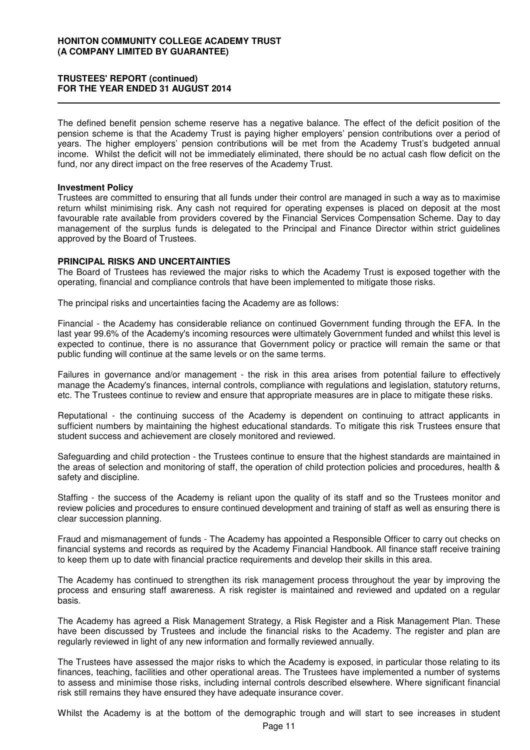### **TRUSTEES' REPORT (continued) FOR THE YEAR ENDED 31 AUGUST 2014**

The defined benefit pension scheme reserve has a negative balance. The effect of the deficit position of the pension scheme is that the Academy Trust is paying higher employers' pension contributions over a period of years. The higher employers' pension contributions will be met from the Academy Trust's budgeted annual income. Whilst the deficit will not be immediately eliminated, there should be no actual cash flow deficit on the fund, nor any direct impact on the free reserves of the Academy Trust.

#### **Investment Policy**

Trustees are committed to ensuring that all funds under their control are managed in such a way as to maximise return whilst minimising risk. Any cash not required for operating expenses is placed on deposit at the most favourable rate available from providers covered by the Financial Services Compensation Scheme. Day to day management of the surplus funds is delegated to the Principal and Finance Director within strict guidelines approved by the Board of Trustees.

### **PRINCIPAL RISKS AND UNCERTAINTIES**

The Board of Trustees has reviewed the major risks to which the Academy Trust is exposed together with the operating, financial and compliance controls that have been implemented to mitigate those risks.

The principal risks and uncertainties facing the Academy are as follows:

Financial - the Academy has considerable reliance on continued Government funding through the EFA. In the last year 99.6% of the Academy's incoming resources were ultimately Government funded and whilst this level is expected to continue, there is no assurance that Government policy or practice will remain the same or that public funding will continue at the same levels or on the same terms.

Failures in governance and/or management - the risk in this area arises from potential failure to effectively manage the Academy's finances, internal controls, compliance with regulations and legislation, statutory returns, etc. The Trustees continue to review and ensure that appropriate measures are in place to mitigate these risks.

Reputational - the continuing success of the Academy is dependent on continuing to attract applicants in sufficient numbers by maintaining the highest educational standards. To mitigate this risk Trustees ensure that student success and achievement are closely monitored and reviewed.

Safeguarding and child protection - the Trustees continue to ensure that the highest standards are maintained in the areas of selection and monitoring of staff, the operation of child protection policies and procedures, health & safety and discipline.

Staffing - the success of the Academy is reliant upon the quality of its staff and so the Trustees monitor and review policies and procedures to ensure continued development and training of staff as well as ensuring there is clear succession planning.

Fraud and mismanagement of funds - The Academy has appointed a Responsible Officer to carry out checks on financial systems and records as required by the Academy Financial Handbook. All finance staff receive training to keep them up to date with financial practice requirements and develop their skills in this area.

The Academy has continued to strengthen its risk management process throughout the year by improving the process and ensuring staff awareness. A risk register is maintained and reviewed and updated on a regular basis.

The Academy has agreed a Risk Management Strategy, a Risk Register and a Risk Management Plan. These have been discussed by Trustees and include the financial risks to the Academy. The register and plan are regularly reviewed in light of any new information and formally reviewed annually.

The Trustees have assessed the major risks to which the Academy is exposed, in particular those relating to its finances, teaching, facilities and other operational areas. The Trustees have implemented a number of systems to assess and minimise those risks, including internal controls described elsewhere. Where significant financial risk still remains they have ensured they have adequate insurance cover.

Whilst the Academy is at the bottom of the demographic trough and will start to see increases in student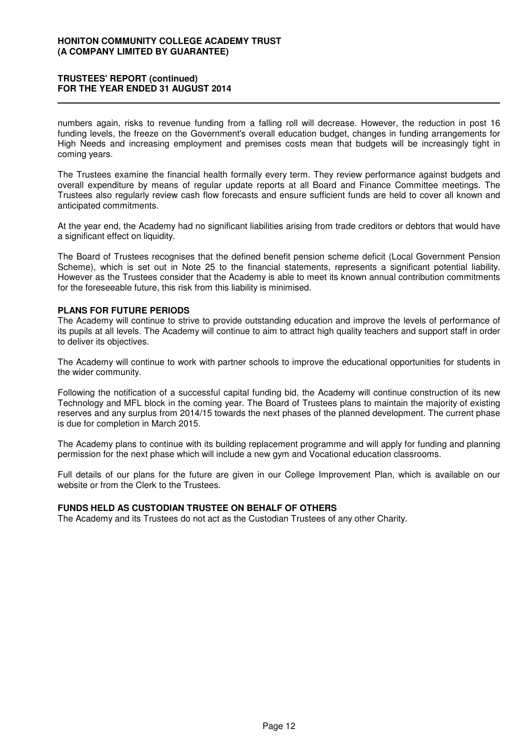### **TRUSTEES' REPORT (continued) FOR THE YEAR ENDED 31 AUGUST 2014**

numbers again, risks to revenue funding from a falling roll will decrease. However, the reduction in post 16 funding levels, the freeze on the Government's overall education budget, changes in funding arrangements for High Needs and increasing employment and premises costs mean that budgets will be increasingly tight in coming years.

The Trustees examine the financial health formally every term. They review performance against budgets and overall expenditure by means of regular update reports at all Board and Finance Committee meetings. The Trustees also regularly review cash flow forecasts and ensure sufficient funds are held to cover all known and anticipated commitments.

At the year end, the Academy had no significant liabilities arising from trade creditors or debtors that would have a significant effect on liquidity.

The Board of Trustees recognises that the defined benefit pension scheme deficit (Local Government Pension Scheme), which is set out in Note 25 to the financial statements, represents a significant potential liability. However as the Trustees consider that the Academy is able to meet its known annual contribution commitments for the foreseeable future, this risk from this liability is minimised.

### **PLANS FOR FUTURE PERIODS**

The Academy will continue to strive to provide outstanding education and improve the levels of performance of its pupils at all levels. The Academy will continue to aim to attract high quality teachers and support staff in order to deliver its objectives.

The Academy will continue to work with partner schools to improve the educational opportunities for students in the wider community.

Following the notification of a successful capital funding bid, the Academy will continue construction of its new Technology and MFL block in the coming year. The Board of Trustees plans to maintain the majority of existing reserves and any surplus from 2014/15 towards the next phases of the planned development. The current phase is due for completion in March 2015.

The Academy plans to continue with its building replacement programme and will apply for funding and planning permission for the next phase which will include a new gym and Vocational education classrooms.

Full details of our plans for the future are given in our College Improvement Plan, which is available on our website or from the Clerk to the Trustees.

### **FUNDS HELD AS CUSTODIAN TRUSTEE ON BEHALF OF OTHERS**

The Academy and its Trustees do not act as the Custodian Trustees of any other Charity.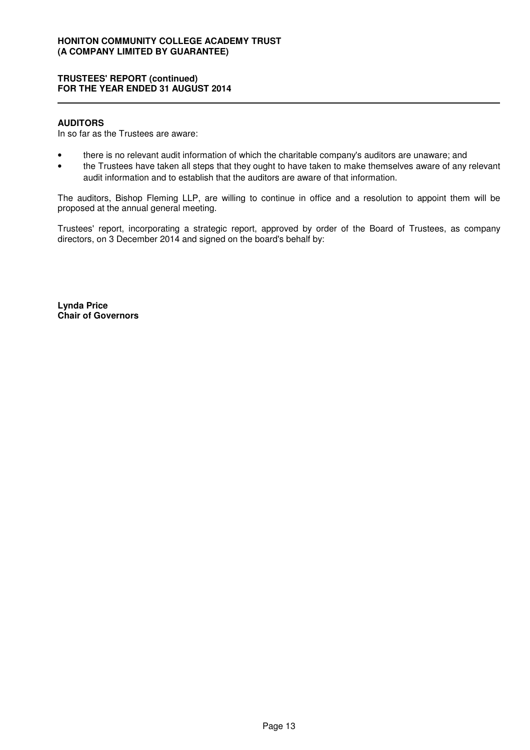### **TRUSTEES' REPORT (continued) FOR THE YEAR ENDED 31 AUGUST 2014**

#### **AUDITORS**

In so far as the Trustees are aware:

- there is no relevant audit information of which the charitable company's auditors are unaware; and
- the Trustees have taken all steps that they ought to have taken to make themselves aware of any relevant audit information and to establish that the auditors are aware of that information.

The auditors, Bishop Fleming LLP, are willing to continue in office and a resolution to appoint them will be proposed at the annual general meeting.

Trustees' report, incorporating a strategic report, approved by order of the Board of Trustees, as company directors, on 3 December 2014 and signed on the board's behalf by:

**Lynda Price Chair of Governors**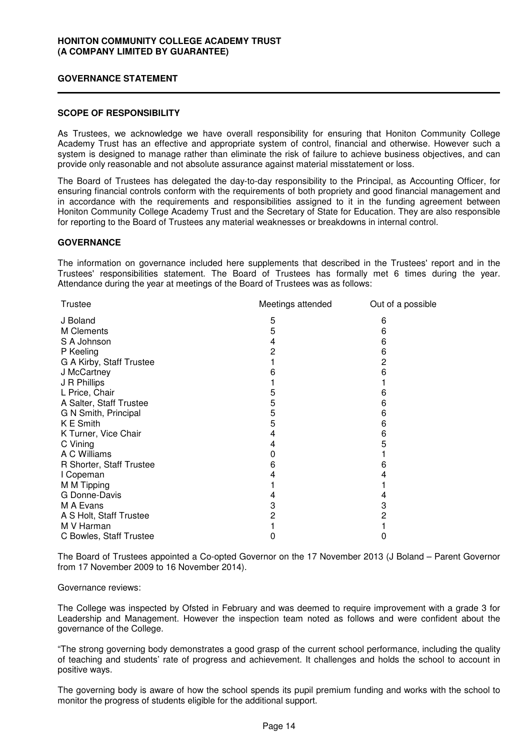### **GOVERNANCE STATEMENT**

### **SCOPE OF RESPONSIBILITY**

As Trustees, we acknowledge we have overall responsibility for ensuring that Honiton Community College Academy Trust has an effective and appropriate system of control, financial and otherwise. However such a system is designed to manage rather than eliminate the risk of failure to achieve business objectives, and can provide only reasonable and not absolute assurance against material misstatement or loss.

The Board of Trustees has delegated the day-to-day responsibility to the Principal, as Accounting Officer, for ensuring financial controls conform with the requirements of both propriety and good financial management and in accordance with the requirements and responsibilities assigned to it in the funding agreement between Honiton Community College Academy Trust and the Secretary of State for Education. They are also responsible for reporting to the Board of Trustees any material weaknesses or breakdowns in internal control.

### **GOVERNANCE**

The information on governance included here supplements that described in the Trustees' report and in the Trustees' responsibilities statement. The Board of Trustees has formally met 6 times during the year. Attendance during the year at meetings of the Board of Trustees was as follows:

| Meetings attended<br>Trustee |   | Out of a possible |
|------------------------------|---|-------------------|
| J Boland                     | 5 | 6                 |
| M Clements                   | 5 | 6                 |
| S A Johnson                  | 4 | 6                 |
| P Keeling                    | 2 | 6                 |
| G A Kirby, Staff Trustee     |   | 2                 |
| J McCartney                  | 6 | 6                 |
| J R Phillips                 |   |                   |
| L Price, Chair               | 5 | 6                 |
| A Salter, Staff Trustee      | 5 | 6                 |
| G N Smith, Principal         | 5 | 6                 |
| K E Smith                    | 5 | 6                 |
| K Turner, Vice Chair         | 4 | 6                 |
| C Vining                     | 4 | 5                 |
| A C Williams                 | 0 |                   |
| R Shorter, Staff Trustee     | 6 | 6                 |
| I Copeman                    | 4 |                   |
| M M Tipping                  |   |                   |
| G Donne-Davis                | 4 | 4                 |
| M A Evans                    | 3 | 3                 |
| A S Holt, Staff Trustee      | 2 | 2                 |
| M V Harman                   |   |                   |
| C Bowles, Staff Trustee      | 0 | 0                 |
|                              |   |                   |

The Board of Trustees appointed a Co-opted Governor on the 17 November 2013 (J Boland – Parent Governor from 17 November 2009 to 16 November 2014).

#### Governance reviews:

The College was inspected by Ofsted in February and was deemed to require improvement with a grade 3 for Leadership and Management. However the inspection team noted as follows and were confident about the governance of the College.

"The strong governing body demonstrates a good grasp of the current school performance, including the quality of teaching and students' rate of progress and achievement. It challenges and holds the school to account in positive ways.

The governing body is aware of how the school spends its pupil premium funding and works with the school to monitor the progress of students eligible for the additional support.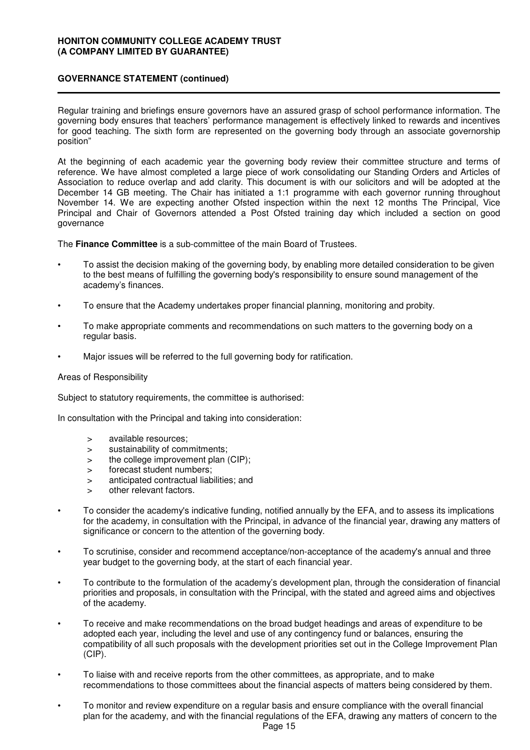Regular training and briefings ensure governors have an assured grasp of school performance information. The governing body ensures that teachers' performance management is effectively linked to rewards and incentives for good teaching. The sixth form are represented on the governing body through an associate governorship position"

At the beginning of each academic year the governing body review their committee structure and terms of reference. We have almost completed a large piece of work consolidating our Standing Orders and Articles of Association to reduce overlap and add clarity. This document is with our solicitors and will be adopted at the December 14 GB meeting. The Chair has initiated a 1:1 programme with each governor running throughout November 14. We are expecting another Ofsted inspection within the next 12 months The Principal, Vice Principal and Chair of Governors attended a Post Ofsted training day which included a section on good governance

The **Finance Committee** is a sub-committee of the main Board of Trustees.

- To assist the decision making of the governing body, by enabling more detailed consideration to be given to the best means of fulfilling the governing body's responsibility to ensure sound management of the academy's finances.
- To ensure that the Academy undertakes proper financial planning, monitoring and probity.
- To make appropriate comments and recommendations on such matters to the governing body on a regular basis.
- Major issues will be referred to the full governing body for ratification.

#### Areas of Responsibility

Subject to statutory requirements, the committee is authorised:

In consultation with the Principal and taking into consideration:

- > available resources;
- > sustainability of commitments;
- > the college improvement plan (CIP);
- > forecast student numbers;
- > anticipated contractual liabilities; and
- > other relevant factors.
- To consider the academy's indicative funding, notified annually by the EFA, and to assess its implications for the academy, in consultation with the Principal, in advance of the financial year, drawing any matters of significance or concern to the attention of the governing body.
- To scrutinise, consider and recommend acceptance/non-acceptance of the academy's annual and three year budget to the governing body, at the start of each financial year.
- To contribute to the formulation of the academy's development plan, through the consideration of financial priorities and proposals, in consultation with the Principal, with the stated and agreed aims and objectives of the academy.
- To receive and make recommendations on the broad budget headings and areas of expenditure to be adopted each year, including the level and use of any contingency fund or balances, ensuring the compatibility of all such proposals with the development priorities set out in the College Improvement Plan (CIP).
- To liaise with and receive reports from the other committees, as appropriate, and to make recommendations to those committees about the financial aspects of matters being considered by them.
- To monitor and review expenditure on a regular basis and ensure compliance with the overall financial plan for the academy, and with the financial regulations of the EFA, drawing any matters of concern to the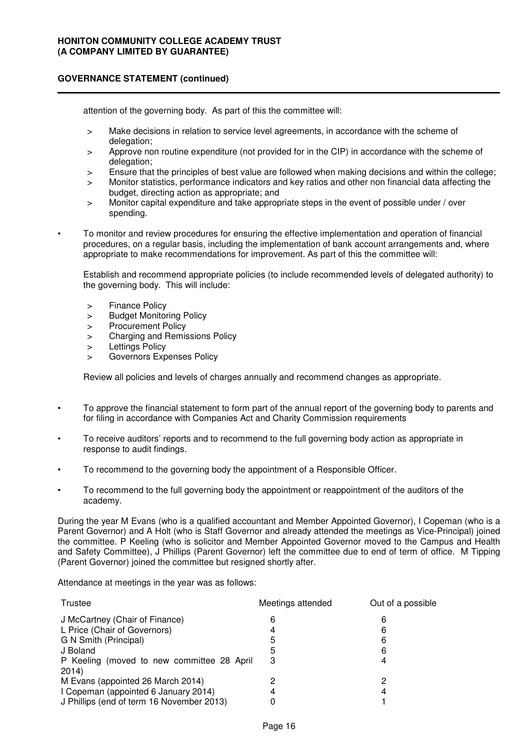attention of the governing body. As part of this the committee will:

- > Make decisions in relation to service level agreements, in accordance with the scheme of delegation;
- > Approve non routine expenditure (not provided for in the CIP) in accordance with the scheme of delegation:
- > Ensure that the principles of best value are followed when making decisions and within the college;
- > Monitor statistics, performance indicators and key ratios and other non financial data affecting the budget, directing action as appropriate; and
- > Monitor capital expenditure and take appropriate steps in the event of possible under / over spending.
- To monitor and review procedures for ensuring the effective implementation and operation of financial procedures, on a regular basis, including the implementation of bank account arrangements and, where appropriate to make recommendations for improvement. As part of this the committee will:

Establish and recommend appropriate policies (to include recommended levels of delegated authority) to the governing body. This will include:

- > Finance Policy
- > Budget Monitoring Policy
- > Procurement Policy
- > Charging and Remissions Policy
- > Lettings Policy
- Governors Expenses Policy

Review all policies and levels of charges annually and recommend changes as appropriate.

- To approve the financial statement to form part of the annual report of the governing body to parents and for filing in accordance with Companies Act and Charity Commission requirements
- To receive auditors' reports and to recommend to the full governing body action as appropriate in response to audit findings.
- To recommend to the governing body the appointment of a Responsible Officer.
- To recommend to the full governing body the appointment or reappointment of the auditors of the academy.

During the year M Evans (who is a qualified accountant and Member Appointed Governor), I Copeman (who is a Parent Governor) and A Holt (who is Staff Governor and already attended the meetings as Vice-Principal) joined the committee. P Keeling (who is solicitor and Member Appointed Governor moved to the Campus and Health and Safety Committee), J Phillips (Parent Governor) left the committee due to end of term of office. M Tipping (Parent Governor) joined the committee but resigned shortly after.

Attendance at meetings in the year was as follows:

| Trustee                                             | Meetings attended | Out of a possible |  |
|-----------------------------------------------------|-------------------|-------------------|--|
| J McCartney (Chair of Finance)                      | 6                 | 6                 |  |
| L Price (Chair of Governors)                        | 4                 | 6                 |  |
| G N Smith (Principal)                               | 5                 | 6                 |  |
| J Boland                                            | 5                 | 6                 |  |
| P Keeling (moved to new committee 28 April<br>2014) | 3                 |                   |  |
| M Evans (appointed 26 March 2014)                   |                   |                   |  |
| I Copeman (appointed 6 January 2014)                | 4                 | 4                 |  |
| J Phillips (end of term 16 November 2013)           |                   |                   |  |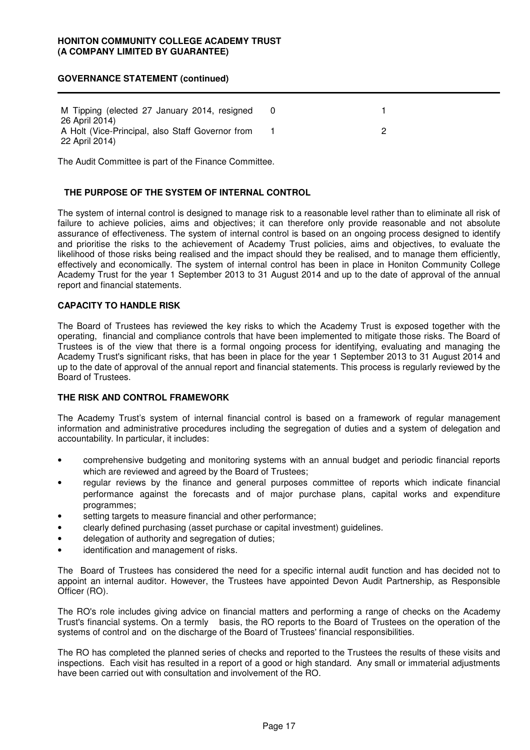M Tipping (elected 27 January 2014, resigned 26 April 2014) 0 1 A Holt (Vice-Principal, also Staff Governor from 22 April 2014) 1 2

The Audit Committee is part of the Finance Committee.

### **THE PURPOSE OF THE SYSTEM OF INTERNAL CONTROL**

The system of internal control is designed to manage risk to a reasonable level rather than to eliminate all risk of failure to achieve policies, aims and objectives; it can therefore only provide reasonable and not absolute assurance of effectiveness. The system of internal control is based on an ongoing process designed to identify and prioritise the risks to the achievement of Academy Trust policies, aims and objectives, to evaluate the likelihood of those risks being realised and the impact should they be realised, and to manage them efficiently, effectively and economically. The system of internal control has been in place in Honiton Community College Academy Trust for the year 1 September 2013 to 31 August 2014 and up to the date of approval of the annual report and financial statements.

### **CAPACITY TO HANDLE RISK**

The Board of Trustees has reviewed the key risks to which the Academy Trust is exposed together with the operating, financial and compliance controls that have been implemented to mitigate those risks. The Board of Trustees is of the view that there is a formal ongoing process for identifying, evaluating and managing the Academy Trust's significant risks, that has been in place for the year 1 September 2013 to 31 August 2014 and up to the date of approval of the annual report and financial statements. This process is regularly reviewed by the Board of Trustees.

#### **THE RISK AND CONTROL FRAMEWORK**

The Academy Trust's system of internal financial control is based on a framework of regular management information and administrative procedures including the segregation of duties and a system of delegation and accountability. In particular, it includes:

- comprehensive budgeting and monitoring systems with an annual budget and periodic financial reports which are reviewed and agreed by the Board of Trustees;
- regular reviews by the finance and general purposes committee of reports which indicate financial performance against the forecasts and of major purchase plans, capital works and expenditure programmes;
- setting targets to measure financial and other performance;
- clearly defined purchasing (asset purchase or capital investment) guidelines.
- delegation of authority and segregation of duties;
- identification and management of risks.

The Board of Trustees has considered the need for a specific internal audit function and has decided not to appoint an internal auditor. However, the Trustees have appointed Devon Audit Partnership, as Responsible Officer (RO).

The RO's role includes giving advice on financial matters and performing a range of checks on the Academy Trust's financial systems. On a termly basis, the RO reports to the Board of Trustees on the operation of the systems of control and on the discharge of the Board of Trustees' financial responsibilities.

The RO has completed the planned series of checks and reported to the Trustees the results of these visits and inspections. Each visit has resulted in a report of a good or high standard. Any small or immaterial adjustments have been carried out with consultation and involvement of the RO.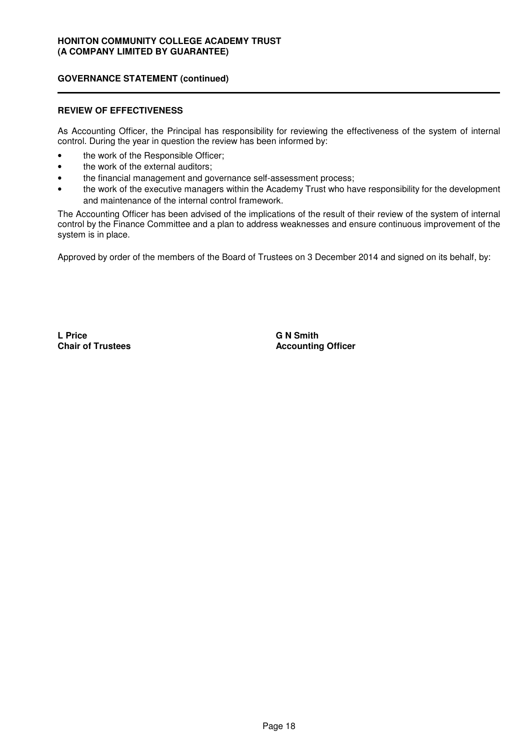#### **REVIEW OF EFFECTIVENESS**

As Accounting Officer, the Principal has responsibility for reviewing the effectiveness of the system of internal control. During the year in question the review has been informed by:

- the work of the Responsible Officer;
- the work of the external auditors;
- the financial management and governance self-assessment process;
- the work of the executive managers within the Academy Trust who have responsibility for the development and maintenance of the internal control framework.

The Accounting Officer has been advised of the implications of the result of their review of the system of internal control by the Finance Committee and a plan to address weaknesses and ensure continuous improvement of the system is in place.

Approved by order of the members of the Board of Trustees on 3 December 2014 and signed on its behalf, by:

**L Price Chair of Trustees** **G N Smith Accounting Officer**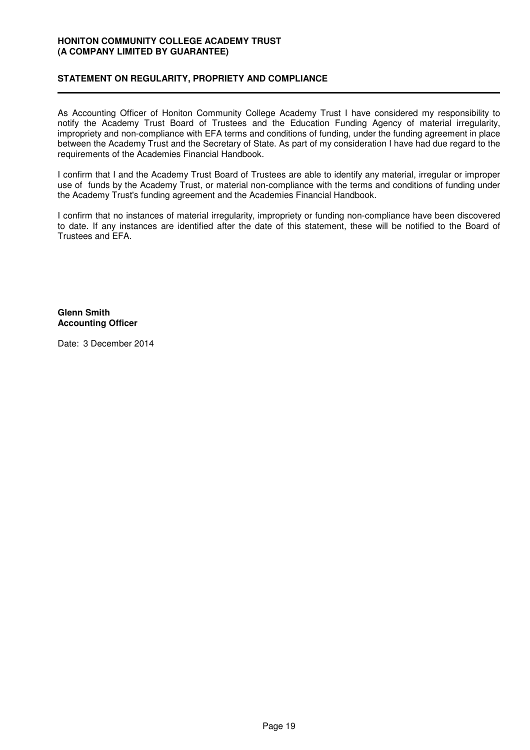### **STATEMENT ON REGULARITY, PROPRIETY AND COMPLIANCE**

As Accounting Officer of Honiton Community College Academy Trust I have considered my responsibility to notify the Academy Trust Board of Trustees and the Education Funding Agency of material irregularity, impropriety and non-compliance with EFA terms and conditions of funding, under the funding agreement in place between the Academy Trust and the Secretary of State. As part of my consideration I have had due regard to the requirements of the Academies Financial Handbook.

I confirm that I and the Academy Trust Board of Trustees are able to identify any material, irregular or improper use of funds by the Academy Trust, or material non-compliance with the terms and conditions of funding under the Academy Trust's funding agreement and the Academies Financial Handbook.

I confirm that no instances of material irregularity, impropriety or funding non-compliance have been discovered to date. If any instances are identified after the date of this statement, these will be notified to the Board of Trustees and EFA.

### **Glenn Smith Accounting Officer**

Date: 3 December 2014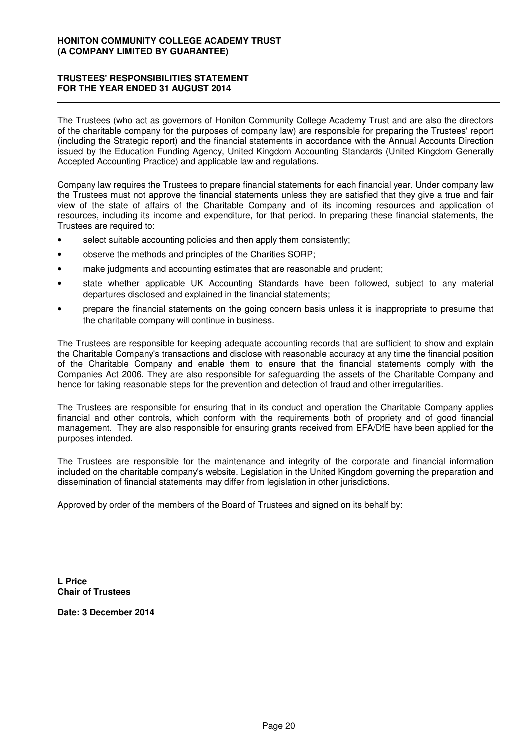### **TRUSTEES' RESPONSIBILITIES STATEMENT FOR THE YEAR ENDED 31 AUGUST 2014**

The Trustees (who act as governors of Honiton Community College Academy Trust and are also the directors of the charitable company for the purposes of company law) are responsible for preparing the Trustees' report (including the Strategic report) and the financial statements in accordance with the Annual Accounts Direction issued by the Education Funding Agency, United Kingdom Accounting Standards (United Kingdom Generally Accepted Accounting Practice) and applicable law and regulations.

Company law requires the Trustees to prepare financial statements for each financial year. Under company law the Trustees must not approve the financial statements unless they are satisfied that they give a true and fair view of the state of affairs of the Charitable Company and of its incoming resources and application of resources, including its income and expenditure, for that period. In preparing these financial statements, the Trustees are required to:

- select suitable accounting policies and then apply them consistently;
- observe the methods and principles of the Charities SORP;
- make judgments and accounting estimates that are reasonable and prudent;
- state whether applicable UK Accounting Standards have been followed, subject to any material departures disclosed and explained in the financial statements;
- prepare the financial statements on the going concern basis unless it is inappropriate to presume that the charitable company will continue in business.

The Trustees are responsible for keeping adequate accounting records that are sufficient to show and explain the Charitable Company's transactions and disclose with reasonable accuracy at any time the financial position of the Charitable Company and enable them to ensure that the financial statements comply with the Companies Act 2006. They are also responsible for safeguarding the assets of the Charitable Company and hence for taking reasonable steps for the prevention and detection of fraud and other irregularities.

The Trustees are responsible for ensuring that in its conduct and operation the Charitable Company applies financial and other controls, which conform with the requirements both of propriety and of good financial management. They are also responsible for ensuring grants received from EFA/DfE have been applied for the purposes intended.

The Trustees are responsible for the maintenance and integrity of the corporate and financial information included on the charitable company's website. Legislation in the United Kingdom governing the preparation and dissemination of financial statements may differ from legislation in other jurisdictions.

Approved by order of the members of the Board of Trustees and signed on its behalf by:

**L Price Chair of Trustees**

**Date: 3 December 2014**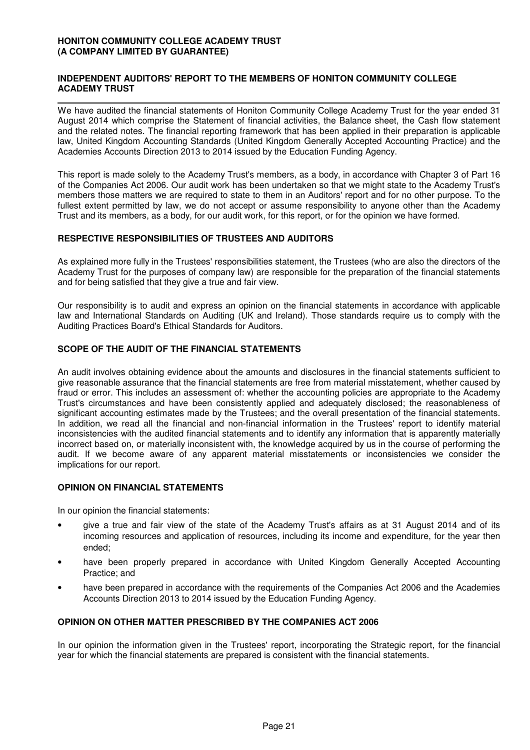### **INDEPENDENT AUDITORS' REPORT TO THE MEMBERS OF HONITON COMMUNITY COLLEGE ACADEMY TRUST**

We have audited the financial statements of Honiton Community College Academy Trust for the year ended 31 August 2014 which comprise the Statement of financial activities, the Balance sheet, the Cash flow statement and the related notes. The financial reporting framework that has been applied in their preparation is applicable law, United Kingdom Accounting Standards (United Kingdom Generally Accepted Accounting Practice) and the Academies Accounts Direction 2013 to 2014 issued by the Education Funding Agency.

This report is made solely to the Academy Trust's members, as a body, in accordance with Chapter 3 of Part 16 of the Companies Act 2006. Our audit work has been undertaken so that we might state to the Academy Trust's members those matters we are required to state to them in an Auditors' report and for no other purpose. To the fullest extent permitted by law, we do not accept or assume responsibility to anyone other than the Academy Trust and its members, as a body, for our audit work, for this report, or for the opinion we have formed.

### **RESPECTIVE RESPONSIBILITIES OF TRUSTEES AND AUDITORS**

As explained more fully in the Trustees' responsibilities statement, the Trustees (who are also the directors of the Academy Trust for the purposes of company law) are responsible for the preparation of the financial statements and for being satisfied that they give a true and fair view.

Our responsibility is to audit and express an opinion on the financial statements in accordance with applicable law and International Standards on Auditing (UK and Ireland). Those standards require us to comply with the Auditing Practices Board's Ethical Standards for Auditors.

### **SCOPE OF THE AUDIT OF THE FINANCIAL STATEMENTS**

An audit involves obtaining evidence about the amounts and disclosures in the financial statements sufficient to give reasonable assurance that the financial statements are free from material misstatement, whether caused by fraud or error. This includes an assessment of: whether the accounting policies are appropriate to the Academy Trust's circumstances and have been consistently applied and adequately disclosed; the reasonableness of significant accounting estimates made by the Trustees; and the overall presentation of the financial statements. In addition, we read all the financial and non-financial information in the Trustees' report to identify material inconsistencies with the audited financial statements and to identify any information that is apparently materially incorrect based on, or materially inconsistent with, the knowledge acquired by us in the course of performing the audit. If we become aware of any apparent material misstatements or inconsistencies we consider the implications for our report.

### **OPINION ON FINANCIAL STATEMENTS**

In our opinion the financial statements:

- give a true and fair view of the state of the Academy Trust's affairs as at 31 August 2014 and of its incoming resources and application of resources, including its income and expenditure, for the year then ended;
- have been properly prepared in accordance with United Kingdom Generally Accepted Accounting Practice; and
- have been prepared in accordance with the requirements of the Companies Act 2006 and the Academies Accounts Direction 2013 to 2014 issued by the Education Funding Agency.

### **OPINION ON OTHER MATTER PRESCRIBED BY THE COMPANIES ACT 2006**

In our opinion the information given in the Trustees' report, incorporating the Strategic report, for the financial year for which the financial statements are prepared is consistent with the financial statements.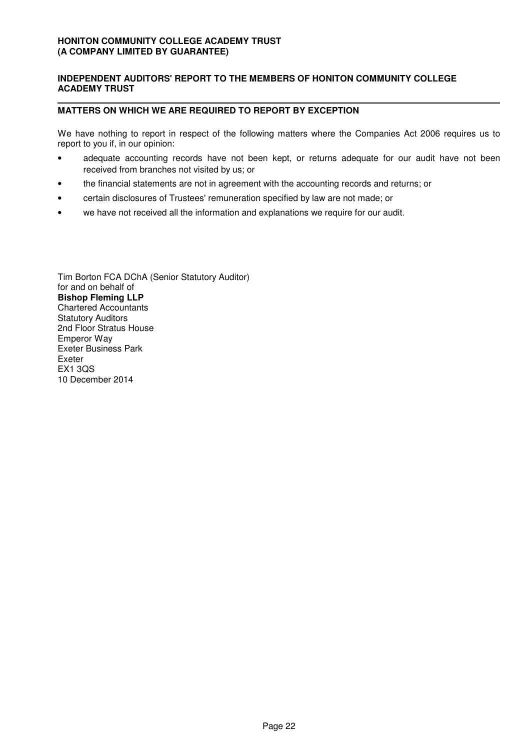### **INDEPENDENT AUDITORS' REPORT TO THE MEMBERS OF HONITON COMMUNITY COLLEGE ACADEMY TRUST**

### **MATTERS ON WHICH WE ARE REQUIRED TO REPORT BY EXCEPTION**

We have nothing to report in respect of the following matters where the Companies Act 2006 requires us to report to you if, in our opinion:

- adequate accounting records have not been kept, or returns adequate for our audit have not been received from branches not visited by us; or
- the financial statements are not in agreement with the accounting records and returns; or
- certain disclosures of Trustees' remuneration specified by law are not made; or Ī
- we have not received all the information and explanations we require for our audit.

Tim Borton FCA DChA (Senior Statutory Auditor) for and on behalf of **Bishop Fleming LLP** Chartered Accountants Statutory Auditors 2nd Floor Stratus House Emperor Way Exeter Business Park Exeter EX1 3QS 10 December 2014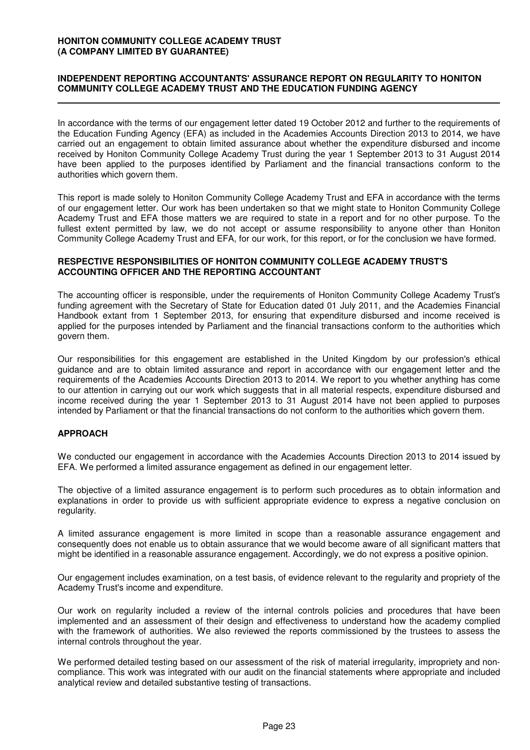### **INDEPENDENT REPORTING ACCOUNTANTS' ASSURANCE REPORT ON REGULARITY TO HONITON COMMUNITY COLLEGE ACADEMY TRUST AND THE EDUCATION FUNDING AGENCY**

In accordance with the terms of our engagement letter dated 19 October 2012 and further to the requirements of the Education Funding Agency (EFA) as included in the Academies Accounts Direction 2013 to 2014, we have carried out an engagement to obtain limited assurance about whether the expenditure disbursed and income received by Honiton Community College Academy Trust during the year 1 September 2013 to 31 August 2014 have been applied to the purposes identified by Parliament and the financial transactions conform to the authorities which govern them.

This report is made solely to Honiton Community College Academy Trust and EFA in accordance with the terms of our engagement letter. Our work has been undertaken so that we might state to Honiton Community College Academy Trust and EFA those matters we are required to state in a report and for no other purpose. To the fullest extent permitted by law, we do not accept or assume responsibility to anyone other than Honiton Community College Academy Trust and EFA, for our work, for this report, or for the conclusion we have formed.

#### **RESPECTIVE RESPONSIBILITIES OF HONITON COMMUNITY COLLEGE ACADEMY TRUST'S ACCOUNTING OFFICER AND THE REPORTING ACCOUNTANT**

The accounting officer is responsible, under the requirements of Honiton Community College Academy Trust's funding agreement with the Secretary of State for Education dated 01 July 2011, and the Academies Financial Handbook extant from 1 September 2013, for ensuring that expenditure disbursed and income received is applied for the purposes intended by Parliament and the financial transactions conform to the authorities which govern them.

Our responsibilities for this engagement are established in the United Kingdom by our profession's ethical guidance and are to obtain limited assurance and report in accordance with our engagement letter and the requirements of the Academies Accounts Direction 2013 to 2014. We report to you whether anything has come to our attention in carrying out our work which suggests that in all material respects, expenditure disbursed and income received during the year 1 September 2013 to 31 August 2014 have not been applied to purposes intended by Parliament or that the financial transactions do not conform to the authorities which govern them.

### **APPROACH**

We conducted our engagement in accordance with the Academies Accounts Direction 2013 to 2014 issued by EFA. We performed a limited assurance engagement as defined in our engagement letter.

The objective of a limited assurance engagement is to perform such procedures as to obtain information and explanations in order to provide us with sufficient appropriate evidence to express a negative conclusion on regularity.

A limited assurance engagement is more limited in scope than a reasonable assurance engagement and consequently does not enable us to obtain assurance that we would become aware of all significant matters that might be identified in a reasonable assurance engagement. Accordingly, we do not express a positive opinion.

Our engagement includes examination, on a test basis, of evidence relevant to the regularity and propriety of the Academy Trust's income and expenditure.

Our work on regularity included a review of the internal controls policies and procedures that have been implemented and an assessment of their design and effectiveness to understand how the academy complied with the framework of authorities. We also reviewed the reports commissioned by the trustees to assess the internal controls throughout the year.

We performed detailed testing based on our assessment of the risk of material irregularity, impropriety and noncompliance. This work was integrated with our audit on the financial statements where appropriate and included analytical review and detailed substantive testing of transactions.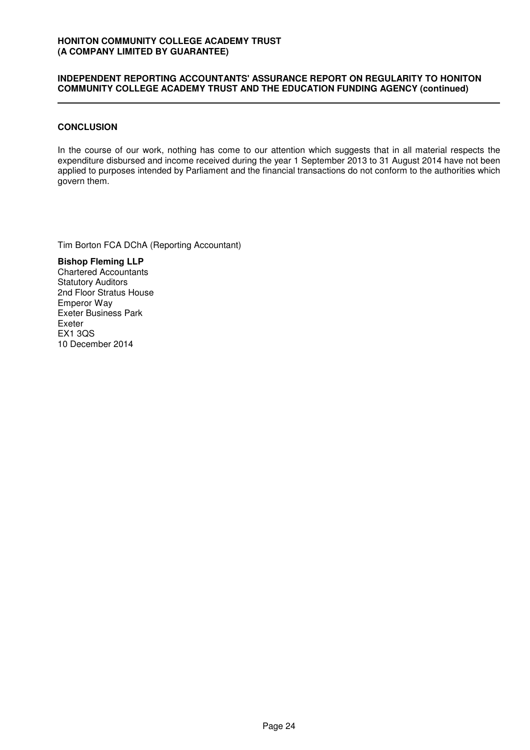### **INDEPENDENT REPORTING ACCOUNTANTS' ASSURANCE REPORT ON REGULARITY TO HONITON COMMUNITY COLLEGE ACADEMY TRUST AND THE EDUCATION FUNDING AGENCY (continued)**

### **CONCLUSION**

In the course of our work, nothing has come to our attention which suggests that in all material respects the expenditure disbursed and income received during the year 1 September 2013 to 31 August 2014 have not been applied to purposes intended by Parliament and the financial transactions do not conform to the authorities which govern them.

Tim Borton FCA DChA (Reporting Accountant)

**Bishop Fleming LLP** Chartered Accountants Statutory Auditors 2nd Floor Stratus House Emperor Way Exeter Business Park Exeter EX1 3QS 10 December 2014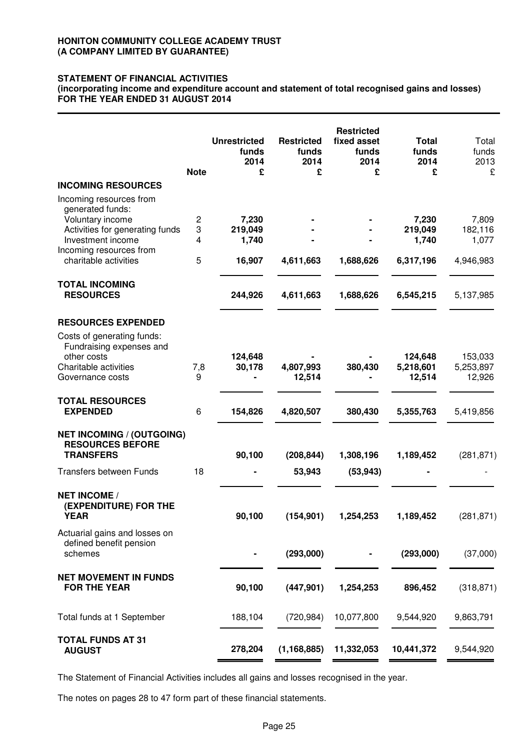### **STATEMENT OF FINANCIAL ACTIVITIES**

**(incorporating income and expenditure account and statement of total recognised gains and losses) FOR THE YEAR ENDED 31 AUGUST 2014**

|                                                                                                                                                                             | <b>Note</b>                   | <b>Unrestricted</b><br>funds<br>2014<br>£ | <b>Restricted</b><br>funds<br>2014<br>£ | <b>Restricted</b><br>fixed asset<br>funds<br>2014<br>£ | <b>Total</b><br>funds<br>2014<br>£     | Total<br>funds<br>2013<br>£            |
|-----------------------------------------------------------------------------------------------------------------------------------------------------------------------------|-------------------------------|-------------------------------------------|-----------------------------------------|--------------------------------------------------------|----------------------------------------|----------------------------------------|
| <b>INCOMING RESOURCES</b>                                                                                                                                                   |                               |                                           |                                         |                                                        |                                        |                                        |
| Incoming resources from<br>generated funds:<br>Voluntary income<br>Activities for generating funds<br>Investment income<br>Incoming resources from<br>charitable activities | $\overline{c}$<br>3<br>4<br>5 | 7,230<br>219,049<br>1,740<br>16,907       | 4,611,663                               | 1,688,626                                              | 7,230<br>219,049<br>1,740<br>6,317,196 | 7,809<br>182,116<br>1,077<br>4,946,983 |
| <b>TOTAL INCOMING</b><br><b>RESOURCES</b>                                                                                                                                   |                               | 244,926                                   | 4,611,663                               | 1,688,626                                              | 6,545,215                              | 5,137,985                              |
| <b>RESOURCES EXPENDED</b>                                                                                                                                                   |                               |                                           |                                         |                                                        |                                        |                                        |
| Costs of generating funds:<br>Fundraising expenses and<br>other costs<br>Charitable activities<br>Governance costs                                                          | 7,8<br>9                      | 124,648<br>30,178                         | 4,807,993<br>12,514                     | 380,430                                                | 124,648<br>5,218,601<br>12,514         | 153,033<br>5,253,897<br>12,926         |
| <b>TOTAL RESOURCES</b><br><b>EXPENDED</b>                                                                                                                                   | 6                             | 154,826                                   | 4,820,507                               | 380,430                                                | 5,355,763                              | 5,419,856                              |
| <b>NET INCOMING / (OUTGOING)</b><br><b>RESOURCES BEFORE</b><br><b>TRANSFERS</b><br><b>Transfers between Funds</b>                                                           | 18                            | 90,100                                    | (208, 844)<br>53,943                    | 1,308,196<br>(53, 943)                                 | 1,189,452                              | (281, 871)                             |
| <b>NET INCOME /</b><br>(EXPENDITURE) FOR THE<br><b>YEAR</b>                                                                                                                 |                               | 90,100                                    | (154, 901)                              | 1,254,253                                              | 1,189,452                              | (281, 871)                             |
| Actuarial gains and losses on<br>defined benefit pension<br>schemes                                                                                                         |                               |                                           | (293,000)                               |                                                        | (293,000)                              | (37,000)                               |
| <b>NET MOVEMENT IN FUNDS</b><br><b>FOR THE YEAR</b>                                                                                                                         |                               | 90,100                                    | (447, 901)                              | 1,254,253                                              | 896,452                                | (318, 871)                             |
| Total funds at 1 September                                                                                                                                                  |                               | 188,104                                   | (720, 984)                              | 10,077,800                                             | 9,544,920                              | 9,863,791                              |
| <b>TOTAL FUNDS AT 31</b><br><b>AUGUST</b>                                                                                                                                   |                               | 278,204                                   | (1, 168, 885)                           | 11,332,053                                             | 10,441,372                             | 9,544,920                              |

The Statement of Financial Activities includes all gains and losses recognised in the year.

The notes on pages 28 to 47 form part of these financial statements.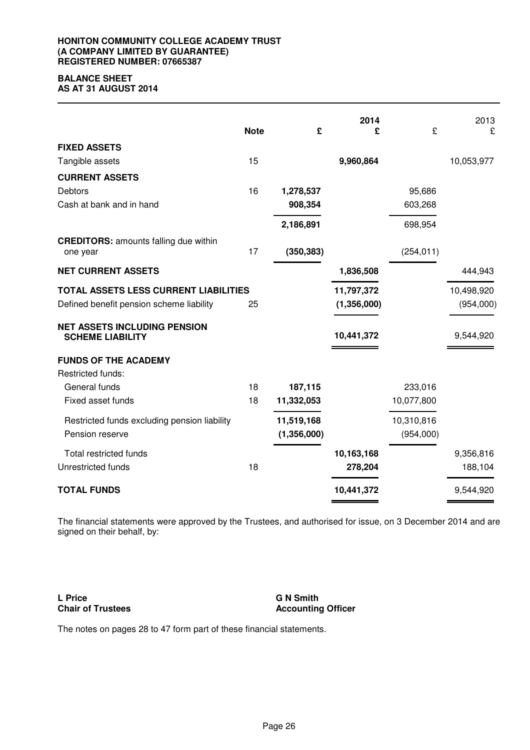#### **HONITON COMMUNITY COLLEGE ACADEMY TRUST (A COMPANY LIMITED BY GUARANTEE) REGISTERED NUMBER: 07665387**

# **BALANCE SHEET**

**AS AT 31 AUGUST 2014**

|                                                                | <b>Note</b> | £           | 2014<br>£   | £          | 2013<br>£  |
|----------------------------------------------------------------|-------------|-------------|-------------|------------|------------|
| <b>FIXED ASSETS</b>                                            |             |             |             |            |            |
| Tangible assets                                                | 15          |             | 9,960,864   |            | 10,053,977 |
| <b>CURRENT ASSETS</b>                                          |             |             |             |            |            |
| <b>Debtors</b>                                                 | 16          | 1,278,537   |             | 95,686     |            |
| Cash at bank and in hand                                       |             | 908,354     |             | 603,268    |            |
|                                                                |             | 2,186,891   |             | 698,954    |            |
| <b>CREDITORS: amounts falling due within</b><br>one year       | 17          | (350, 383)  |             | (254, 011) |            |
| <b>NET CURRENT ASSETS</b>                                      |             |             | 1,836,508   |            | 444,943    |
| TOTAL ASSETS LESS CURRENT LIABILITIES                          |             |             | 11,797,372  |            | 10,498,920 |
| Defined benefit pension scheme liability                       | 25          |             | (1,356,000) |            | (954,000)  |
| <b>NET ASSETS INCLUDING PENSION</b><br><b>SCHEME LIABILITY</b> |             |             | 10,441,372  |            | 9,544,920  |
| <b>FUNDS OF THE ACADEMY</b>                                    |             |             |             |            |            |
| Restricted funds:                                              |             |             |             |            |            |
| General funds                                                  | 18          | 187,115     |             | 233,016    |            |
| Fixed asset funds                                              | 18          | 11,332,053  |             | 10,077,800 |            |
| Restricted funds excluding pension liability                   |             | 11,519,168  |             | 10,310,816 |            |
| Pension reserve                                                |             | (1,356,000) |             | (954,000)  |            |
| <b>Total restricted funds</b>                                  |             |             | 10,163,168  |            | 9,356,816  |
| Unrestricted funds                                             | 18          |             | 278,204     |            | 188,104    |
| <b>TOTAL FUNDS</b>                                             |             |             | 10,441,372  |            | 9,544,920  |

The financial statements were approved by the Trustees, and authorised for issue, on 3 December 2014 and are signed on their behalf, by:

**L Price Chair of Trustees** **G N Smith Accounting Officer**

The notes on pages 28 to 47 form part of these financial statements.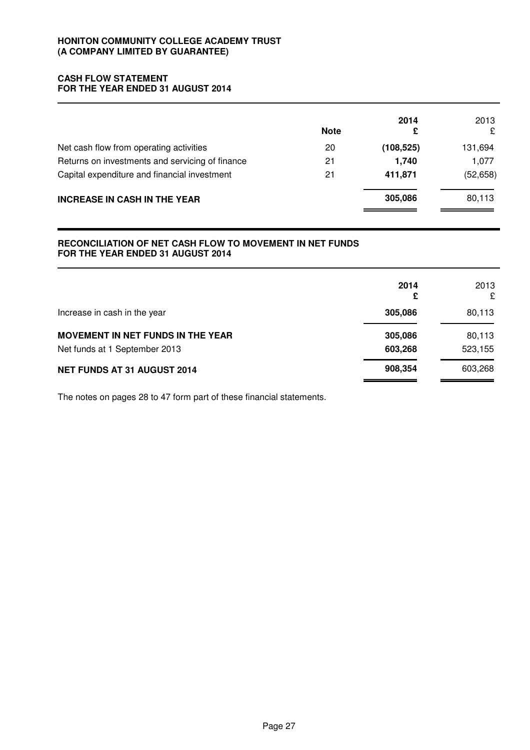### **CASH FLOW STATEMENT FOR THE YEAR ENDED 31 AUGUST 2014**

|                                                 | <b>Note</b> | 2014<br>£  | 2013<br>£ |
|-------------------------------------------------|-------------|------------|-----------|
| Net cash flow from operating activities         | 20          | (108, 525) | 131,694   |
| Returns on investments and servicing of finance | 21          | 1,740      | 1,077     |
| Capital expenditure and financial investment    | 21          | 411,871    | (52, 658) |
| <b>INCREASE IN CASH IN THE YEAR</b>             |             | 305,086    | 80,113    |

### **RECONCILIATION OF NET CASH FLOW TO MOVEMENT IN NET FUNDS FOR THE YEAR ENDED 31 AUGUST 2014**

|                                          | 2014<br>£ | 2013<br>£ |
|------------------------------------------|-----------|-----------|
| Increase in cash in the year             | 305,086   | 80,113    |
| <b>MOVEMENT IN NET FUNDS IN THE YEAR</b> | 305,086   | 80,113    |
| Net funds at 1 September 2013            | 603,268   | 523,155   |
| NET FUNDS AT 31 AUGUST 2014              | 908,354   | 603,268   |

The notes on pages 28 to 47 form part of these financial statements.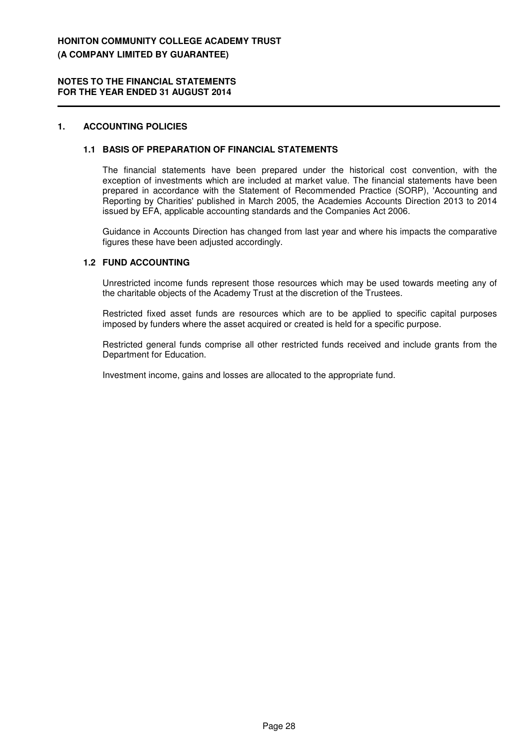#### **NOTES TO THE FINANCIAL STATEMENTS FOR THE YEAR ENDED 31 AUGUST 2014**

### **1. ACCOUNTING POLICIES**

#### **1.1 BASIS OF PREPARATION OF FINANCIAL STATEMENTS**

The financial statements have been prepared under the historical cost convention, with the exception of investments which are included at market value. The financial statements have been prepared in accordance with the Statement of Recommended Practice (SORP), 'Accounting and Reporting by Charities' published in March 2005, the Academies Accounts Direction 2013 to 2014 issued by EFA, applicable accounting standards and the Companies Act 2006.

Guidance in Accounts Direction has changed from last year and where his impacts the comparative figures these have been adjusted accordingly.

### **1.2 FUND ACCOUNTING**

Unrestricted income funds represent those resources which may be used towards meeting any of the charitable objects of the Academy Trust at the discretion of the Trustees.

Restricted fixed asset funds are resources which are to be applied to specific capital purposes imposed by funders where the asset acquired or created is held for a specific purpose.

Restricted general funds comprise all other restricted funds received and include grants from the Department for Education.

Investment income, gains and losses are allocated to the appropriate fund.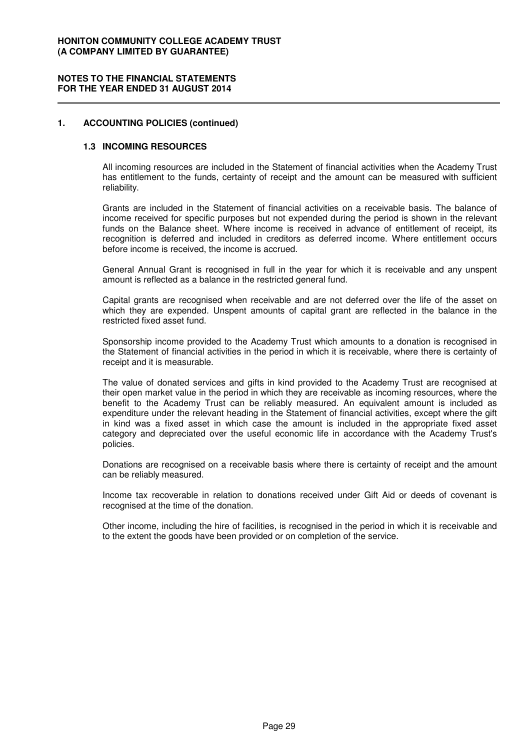#### **1. ACCOUNTING POLICIES (continued)**

#### **1.3 INCOMING RESOURCES**

All incoming resources are included in the Statement of financial activities when the Academy Trust has entitlement to the funds, certainty of receipt and the amount can be measured with sufficient reliability.

Grants are included in the Statement of financial activities on a receivable basis. The balance of income received for specific purposes but not expended during the period is shown in the relevant funds on the Balance sheet. Where income is received in advance of entitlement of receipt, its recognition is deferred and included in creditors as deferred income. Where entitlement occurs before income is received, the income is accrued.

General Annual Grant is recognised in full in the year for which it is receivable and any unspent amount is reflected as a balance in the restricted general fund.

Capital grants are recognised when receivable and are not deferred over the life of the asset on which they are expended. Unspent amounts of capital grant are reflected in the balance in the restricted fixed asset fund.

Sponsorship income provided to the Academy Trust which amounts to a donation is recognised in the Statement of financial activities in the period in which it is receivable, where there is certainty of receipt and it is measurable.

The value of donated services and gifts in kind provided to the Academy Trust are recognised at their open market value in the period in which they are receivable as incoming resources, where the benefit to the Academy Trust can be reliably measured. An equivalent amount is included as expenditure under the relevant heading in the Statement of financial activities, except where the gift in kind was a fixed asset in which case the amount is included in the appropriate fixed asset category and depreciated over the useful economic life in accordance with the Academy Trust's policies.

Donations are recognised on a receivable basis where there is certainty of receipt and the amount can be reliably measured.

Income tax recoverable in relation to donations received under Gift Aid or deeds of covenant is recognised at the time of the donation.

Other income, including the hire of facilities, is recognised in the period in which it is receivable and to the extent the goods have been provided or on completion of the service.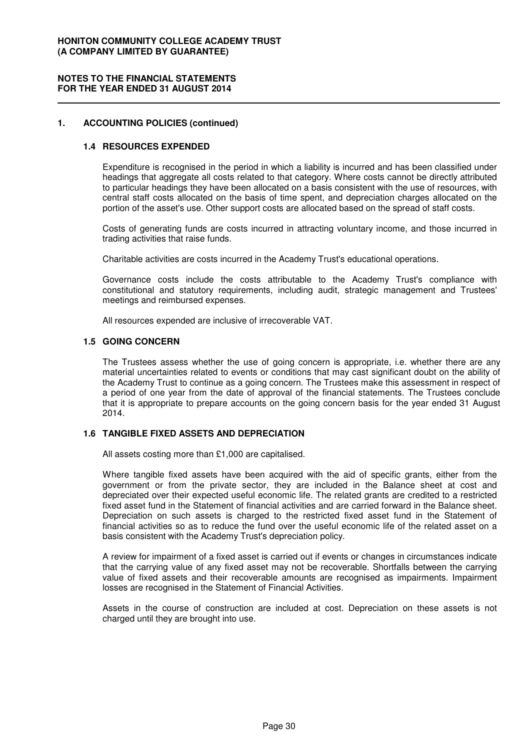#### **NOTES TO THE FINANCIAL STATEMENTS FOR THE YEAR ENDED 31 AUGUST 2014**

### **1. ACCOUNTING POLICIES (continued)**

### **1.4 RESOURCES EXPENDED**

Expenditure is recognised in the period in which a liability is incurred and has been classified under headings that aggregate all costs related to that category. Where costs cannot be directly attributed to particular headings they have been allocated on a basis consistent with the use of resources, with central staff costs allocated on the basis of time spent, and depreciation charges allocated on the portion of the asset's use. Other support costs are allocated based on the spread of staff costs.

Costs of generating funds are costs incurred in attracting voluntary income, and those incurred in trading activities that raise funds.

Charitable activities are costs incurred in the Academy Trust's educational operations.

Governance costs include the costs attributable to the Academy Trust's compliance with constitutional and statutory requirements, including audit, strategic management and Trustees' meetings and reimbursed expenses.

All resources expended are inclusive of irrecoverable VAT.

#### **1.5 GOING CONCERN**

The Trustees assess whether the use of going concern is appropriate, i.e. whether there are any material uncertainties related to events or conditions that may cast significant doubt on the ability of the Academy Trust to continue as a going concern. The Trustees make this assessment in respect of a period of one year from the date of approval of the financial statements. The Trustees conclude that it is appropriate to prepare accounts on the going concern basis for the year ended 31 August 2014.

### **1.6 TANGIBLE FIXED ASSETS AND DEPRECIATION**

All assets costing more than £1,000 are capitalised.

Where tangible fixed assets have been acquired with the aid of specific grants, either from the government or from the private sector, they are included in the Balance sheet at cost and depreciated over their expected useful economic life. The related grants are credited to a restricted fixed asset fund in the Statement of financial activities and are carried forward in the Balance sheet. Depreciation on such assets is charged to the restricted fixed asset fund in the Statement of financial activities so as to reduce the fund over the useful economic life of the related asset on a basis consistent with the Academy Trust's depreciation policy.

A review for impairment of a fixed asset is carried out if events or changes in circumstances indicate that the carrying value of any fixed asset may not be recoverable. Shortfalls between the carrying value of fixed assets and their recoverable amounts are recognised as impairments. Impairment losses are recognised in the Statement of Financial Activities.

Assets in the course of construction are included at cost. Depreciation on these assets is not charged until they are brought into use.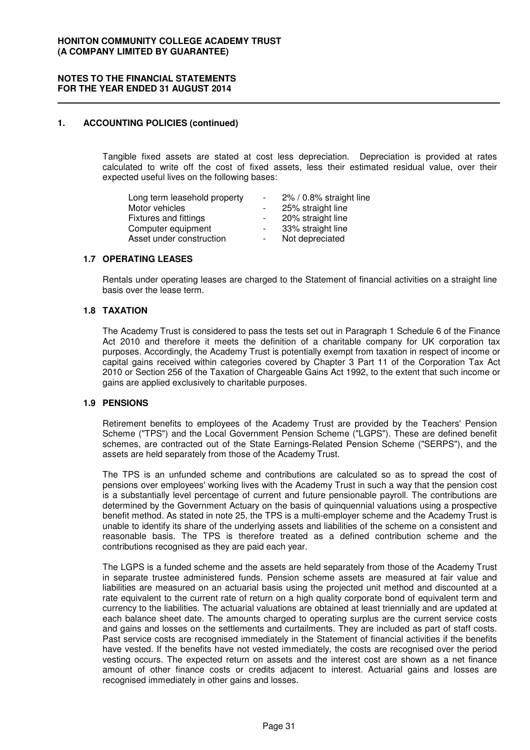#### **1. ACCOUNTING POLICIES (continued)**

Tangible fixed assets are stated at cost less depreciation. Depreciation is provided at rates calculated to write off the cost of fixed assets, less their estimated residual value, over their expected useful lives on the following bases:

| Long term leasehold property | $\sim$         | 2% / 0.8% straight line |
|------------------------------|----------------|-------------------------|
| Motor vehicles               |                | 25% straight line       |
| <b>Fixtures and fittings</b> |                | 20% straight line       |
| Computer equipment           | $\sim$ 10 $\,$ | 33% straight line       |
| Asset under construction     |                | Not depreciated         |

### **1.7 OPERATING LEASES**

Rentals under operating leases are charged to the Statement of financial activities on a straight line basis over the lease term.

### **1.8 TAXATION**

The Academy Trust is considered to pass the tests set out in Paragraph 1 Schedule 6 of the Finance Act 2010 and therefore it meets the definition of a charitable company for UK corporation tax purposes. Accordingly, the Academy Trust is potentially exempt from taxation in respect of income or capital gains received within categories covered by Chapter 3 Part 11 of the Corporation Tax Act 2010 or Section 256 of the Taxation of Chargeable Gains Act 1992, to the extent that such income or gains are applied exclusively to charitable purposes.

#### **1.9 PENSIONS**

Retirement benefits to employees of the Academy Trust are provided by the Teachers' Pension Scheme ("TPS") and the Local Government Pension Scheme ("LGPS"). These are defined benefit schemes, are contracted out of the State Earnings-Related Pension Scheme ("SERPS"), and the assets are held separately from those of the Academy Trust.

The TPS is an unfunded scheme and contributions are calculated so as to spread the cost of pensions over employees' working lives with the Academy Trust in such a way that the pension cost is a substantially level percentage of current and future pensionable payroll. The contributions are determined by the Government Actuary on the basis of quinquennial valuations using a prospective benefit method. As stated in note 25, the TPS is a multi-employer scheme and the Academy Trust is unable to identify its share of the underlying assets and liabilities of the scheme on a consistent and reasonable basis. The TPS is therefore treated as a defined contribution scheme and the contributions recognised as they are paid each year.

The LGPS is a funded scheme and the assets are held separately from those of the Academy Trust in separate trustee administered funds. Pension scheme assets are measured at fair value and liabilities are measured on an actuarial basis using the projected unit method and discounted at a rate equivalent to the current rate of return on a high quality corporate bond of equivalent term and currency to the liabilities. The actuarial valuations are obtained at least triennially and are updated at each balance sheet date. The amounts charged to operating surplus are the current service costs and gains and losses on the settlements and curtailments. They are included as part of staff costs. Past service costs are recognised immediately in the Statement of financial activities if the benefits have vested. If the benefits have not vested immediately, the costs are recognised over the period vesting occurs. The expected return on assets and the interest cost are shown as a net finance amount of other finance costs or credits adjacent to interest. Actuarial gains and losses are recognised immediately in other gains and losses.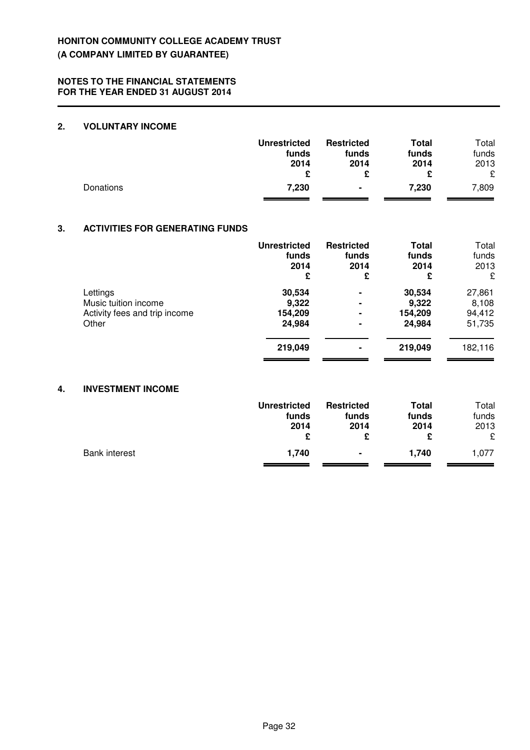### **2. VOLUNTARY INCOME**

|           | <b>Unrestricted</b><br>funds<br>2014 | <b>Restricted</b><br>funds<br>2014 | Total<br>funds<br>2014 | Total<br>funds<br>2013<br>£ |
|-----------|--------------------------------------|------------------------------------|------------------------|-----------------------------|
| Donations | 7,230                                | ۰                                  | 7,230                  | 7,809                       |

### **3. ACTIVITIES FOR GENERATING FUNDS**

|                                                       | <b>Unrestricted</b><br>funds<br>2014<br>£ | <b>Restricted</b><br>funds<br>2014<br>£ | <b>Total</b><br>funds<br>2014<br>£ | Total<br>funds<br>2013<br>£ |
|-------------------------------------------------------|-------------------------------------------|-----------------------------------------|------------------------------------|-----------------------------|
| Lettings                                              | 30,534                                    | ۰                                       | 30,534                             | 27,861                      |
| Music tuition income<br>Activity fees and trip income | 9,322<br>154,209                          | $\blacksquare$<br>۰                     | 9,322<br>154,209                   | 8,108<br>94,412             |
| Other                                                 | 24,984                                    | $\blacksquare$                          | 24,984                             | 51,735                      |
|                                                       | 219,049                                   | ۰                                       | 219,049                            | 182,116                     |

### **4. INVESTMENT INCOME**

|                      | <b>Unrestricted</b><br>funds<br>2014 | <b>Restricted</b><br>funds<br>2014 | <b>Total</b><br>funds<br>2014 | Total<br>funds<br>2013<br>£ |
|----------------------|--------------------------------------|------------------------------------|-------------------------------|-----------------------------|
| <b>Bank interest</b> | 1,740                                | $\blacksquare$                     | 1.740                         | 1.077                       |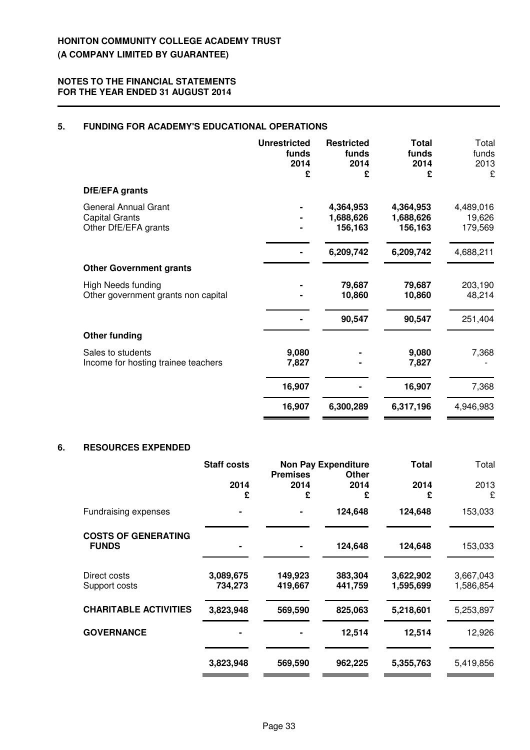### **5. FUNDING FOR ACADEMY'S EDUCATIONAL OPERATIONS**

|                                                                              | <b>Unrestricted</b><br>funds<br>2014<br>£ | <b>Restricted</b><br>funds<br>2014<br>£ | <b>Total</b><br>funds<br>2014<br>£ | Total<br>funds<br>2013<br>£    |
|------------------------------------------------------------------------------|-------------------------------------------|-----------------------------------------|------------------------------------|--------------------------------|
| DfE/EFA grants                                                               |                                           |                                         |                                    |                                |
| <b>General Annual Grant</b><br><b>Capital Grants</b><br>Other DfE/EFA grants |                                           | 4,364,953<br>1,688,626<br>156,163       | 4,364,953<br>1,688,626<br>156,163  | 4,489,016<br>19,626<br>179,569 |
|                                                                              |                                           | 6,209,742                               | 6,209,742                          | 4,688,211                      |
| <b>Other Government grants</b>                                               |                                           |                                         |                                    |                                |
| <b>High Needs funding</b><br>Other government grants non capital             |                                           | 79,687<br>10,860                        | 79,687<br>10,860                   | 203,190<br>48,214              |
|                                                                              |                                           | 90,547                                  | 90,547                             | 251,404                        |
| <b>Other funding</b>                                                         |                                           |                                         |                                    |                                |
| Sales to students<br>Income for hosting trainee teachers                     | 9,080<br>7,827                            |                                         | 9,080<br>7,827                     | 7,368                          |
|                                                                              | 16,907                                    |                                         | 16,907                             | 7,368                          |
|                                                                              | 16,907                                    | 6,300,289                               | 6,317,196                          | 4,946,983                      |

### **6. RESOURCES EXPENDED**

|                                            | <b>Staff costs</b>   | <b>Non Pay Expenditure</b><br><b>Premises</b><br>Other |                    | <b>Total</b>           | Total                  |  |
|--------------------------------------------|----------------------|--------------------------------------------------------|--------------------|------------------------|------------------------|--|
|                                            | 2014<br>£            | 2014<br>£                                              | 2014<br>£          | 2014<br>£              | 2013<br>£              |  |
| Fundraising expenses                       |                      |                                                        | 124,648            | 124,648                | 153,033                |  |
| <b>COSTS OF GENERATING</b><br><b>FUNDS</b> |                      |                                                        | 124,648            | 124,648                | 153,033                |  |
| Direct costs<br>Support costs              | 3,089,675<br>734,273 | 149,923<br>419,667                                     | 383,304<br>441,759 | 3,622,902<br>1,595,699 | 3,667,043<br>1,586,854 |  |
| <b>CHARITABLE ACTIVITIES</b>               | 3,823,948            | 569,590                                                | 825,063            | 5,218,601              | 5,253,897              |  |
| <b>GOVERNANCE</b>                          |                      |                                                        | 12,514             | 12,514                 | 12,926                 |  |
|                                            | 3,823,948            | 569,590                                                | 962,225            | 5,355,763              | 5,419,856              |  |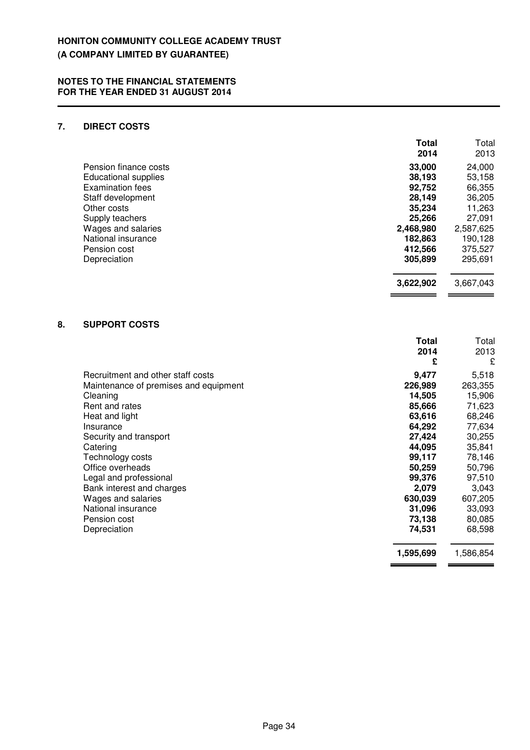### **7. DIRECT COSTS**

|    |                             | <b>Total</b><br>2014 | Total<br>2013 |
|----|-----------------------------|----------------------|---------------|
|    | Pension finance costs       | 33,000               | 24,000        |
|    | <b>Educational supplies</b> | 38,193               | 53,158        |
|    | <b>Examination fees</b>     | 92,752               | 66,355        |
|    | Staff development           | 28,149               | 36,205        |
|    | Other costs                 | 35,234               | 11,263        |
|    | Supply teachers             | 25,266               | 27,091        |
|    | Wages and salaries          | 2,468,980            | 2,587,625     |
|    | National insurance          | 182,863              | 190,128       |
|    | Pension cost                | 412,566              | 375,527       |
|    | Depreciation                | 305,899              | 295,691       |
|    |                             | 3,622,902            | 3,667,043     |
| 8. | <b>SUPPORT COSTS</b>        |                      |               |
|    |                             | Total                | Total         |
|    |                             | 2014                 | 2013          |
|    |                             | £                    | £             |

|                                       | £         | £         |
|---------------------------------------|-----------|-----------|
| Recruitment and other staff costs     | 9,477     | 5,518     |
| Maintenance of premises and equipment | 226,989   | 263,355   |
| Cleaning                              | 14,505    | 15,906    |
| Rent and rates                        | 85,666    | 71,623    |
| Heat and light                        | 63,616    | 68,246    |
| Insurance                             | 64,292    | 77,634    |
| Security and transport                | 27,424    | 30,255    |
| Catering                              | 44,095    | 35,841    |
| Technology costs                      | 99,117    | 78,146    |
| Office overheads                      | 50,259    | 50,796    |
| Legal and professional                | 99,376    | 97,510    |
| Bank interest and charges             | 2,079     | 3,043     |
| Wages and salaries                    | 630,039   | 607,205   |
| National insurance                    | 31,096    | 33,093    |
| Pension cost                          | 73,138    | 80,085    |
| Depreciation                          | 74.531    | 68,598    |
|                                       | 1,595,699 | 1,586,854 |

 $\overline{\phantom{0}}$  $\overline{a}$   $\overline{a}$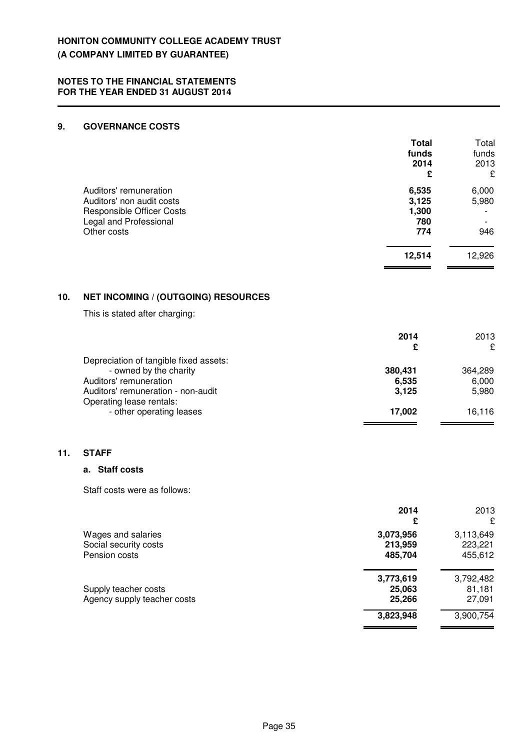### **9. GOVERNANCE COSTS**

|     |                                                                                                                                  | <b>Total</b><br>funds<br>2014<br>£    | Total<br>funds<br>2013<br>£     |
|-----|----------------------------------------------------------------------------------------------------------------------------------|---------------------------------------|---------------------------------|
|     | Auditors' remuneration<br>Auditors' non audit costs<br><b>Responsible Officer Costs</b><br>Legal and Professional<br>Other costs | 6,535<br>3,125<br>1,300<br>780<br>774 | 6,000<br>5,980<br>946           |
|     |                                                                                                                                  | 12,514                                | 12,926                          |
| 10. | <b>NET INCOMING / (OUTGOING) RESOURCES</b>                                                                                       |                                       |                                 |
|     | This is stated after charging:                                                                                                   |                                       |                                 |
|     |                                                                                                                                  | 2014<br>£                             | 2013<br>£                       |
|     | Depreciation of tangible fixed assets:<br>- owned by the charity<br>Auditors' remuneration<br>Auditors' remuneration - non-audit | 380,431<br>6,535<br>3,125             | 364,289<br>6,000<br>5,980       |
|     | Operating lease rentals:<br>- other operating leases                                                                             | 17,002                                | 16,116                          |
| 11. | <b>STAFF</b>                                                                                                                     |                                       |                                 |
|     | a. Staff costs                                                                                                                   |                                       |                                 |
|     | Staff costs were as follows:                                                                                                     |                                       |                                 |
|     |                                                                                                                                  | 2014<br>£                             | 2013<br>£                       |
|     | Wages and salaries<br>Social security costs<br>Pension costs                                                                     | 3,073,956<br>213,959<br>485,704       | 3,113,649<br>223,221<br>455,612 |

| Supply teacher costs        | 25,063 | 81,181 |
|-----------------------------|--------|--------|
| Agency supply teacher costs | 25.266 | 27,091 |

**11.** 

**3,773,619** 3,792,482

 **3,823,948** 3,900,754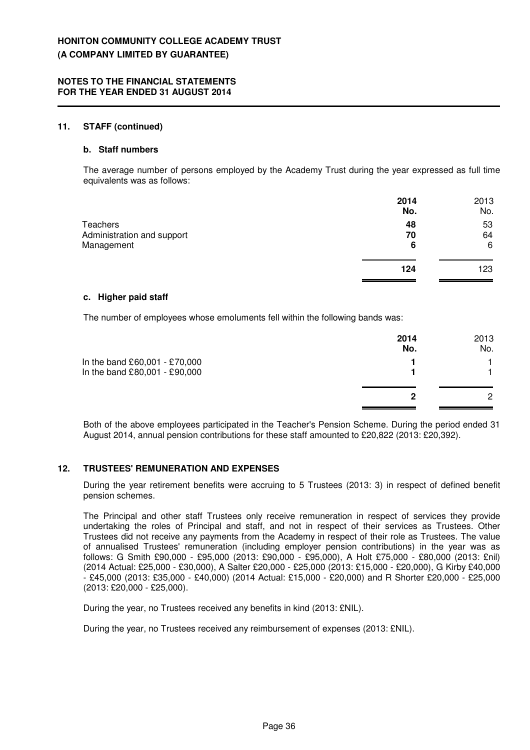#### **11. STAFF (continued)**

#### **b. Staff numbers**

The average number of persons employed by the Academy Trust during the year expressed as full time equivalents was as follows:

|                            | 2014<br>No. | 2013<br>No. |
|----------------------------|-------------|-------------|
| Teachers                   | 48          | 53          |
| Administration and support | 70          | 64          |
| Management                 | 6           | 6           |
|                            | 124         | 123         |

#### **c. Higher paid staff**

The number of employees whose emoluments fell within the following bands was:

|                                                                | 2014<br>No. | 2013<br>No.   |
|----------------------------------------------------------------|-------------|---------------|
| In the band £60,001 - £70,000<br>In the band £80,001 - £90,000 |             |               |
|                                                                | 2           | $\mathcal{P}$ |

Both of the above employees participated in the Teacher's Pension Scheme. During the period ended 31 August 2014, annual pension contributions for these staff amounted to £20,822 (2013: £20,392).

#### **12. TRUSTEES' REMUNERATION AND EXPENSES**

During the year retirement benefits were accruing to 5 Trustees (2013: 3) in respect of defined benefit pension schemes.

The Principal and other staff Trustees only receive remuneration in respect of services they provide undertaking the roles of Principal and staff, and not in respect of their services as Trustees. Other Trustees did not receive any payments from the Academy in respect of their role as Trustees. The value of annualised Trustees' remuneration (including employer pension contributions) in the year was as follows: G Smith £90,000 - £95,000 (2013: £90,000 - £95,000), A Holt £75,000 - £80,000 (2013: £nil) (2014 Actual: £25,000 - £30,000), A Salter £20,000 - £25,000 (2013: £15,000 - £20,000), G Kirby £40,000 - £45,000 (2013: £35,000 - £40,000) (2014 Actual: £15,000 - £20,000) and R Shorter £20,000 - £25,000 (2013: £20,000 - £25,000).

During the year, no Trustees received any benefits in kind (2013: £NIL).

During the year, no Trustees received any reimbursement of expenses (2013: £NIL).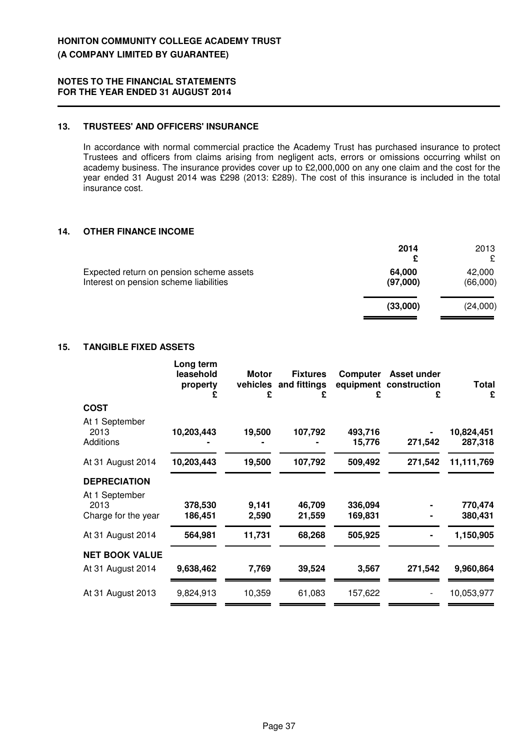### **13. TRUSTEES' AND OFFICERS' INSURANCE**

In accordance with normal commercial practice the Academy Trust has purchased insurance to protect Trustees and officers from claims arising from negligent acts, errors or omissions occurring whilst on academy business. The insurance provides cover up to £2,000,000 on any one claim and the cost for the year ended 31 August 2014 was £298 (2013: £289). The cost of this insurance is included in the total insurance cost.

### **14. OTHER FINANCE INCOME**

|                                                                                    | 2014<br>£          | 2013               |
|------------------------------------------------------------------------------------|--------------------|--------------------|
| Expected return on pension scheme assets<br>Interest on pension scheme liabilities | 64.000<br>(97,000) | 42,000<br>(66,000) |
|                                                                                    | (33,000)           | (24,000)           |

### **15. TANGIBLE FIXED ASSETS**

|                                               | Long term<br>leasehold<br>property<br>£ | Motor<br>£     | <b>Fixtures</b><br>vehicles and fittings<br>£ | Computer<br>equipment<br>£ | Asset under<br>construction<br>£ | Total<br>£            |
|-----------------------------------------------|-----------------------------------------|----------------|-----------------------------------------------|----------------------------|----------------------------------|-----------------------|
| <b>COST</b>                                   |                                         |                |                                               |                            |                                  |                       |
| At 1 September<br>2013<br>Additions           | 10,203,443                              | 19,500         | 107,792                                       | 493,716<br>15,776          | 271,542                          | 10,824,451<br>287,318 |
| At 31 August 2014                             | 10,203,443                              | 19,500         | 107,792                                       | 509,492                    | 271,542                          | 11,111,769            |
| <b>DEPRECIATION</b>                           |                                         |                |                                               |                            |                                  |                       |
| At 1 September<br>2013<br>Charge for the year | 378,530<br>186,451                      | 9,141<br>2,590 | 46,709<br>21,559                              | 336,094<br>169,831         |                                  | 770,474<br>380,431    |
| At 31 August 2014                             | 564,981                                 | 11,731         | 68,268                                        | 505,925                    |                                  | 1,150,905             |
| <b>NET BOOK VALUE</b>                         |                                         |                |                                               |                            |                                  |                       |
| At 31 August 2014                             | 9,638,462                               | 7,769          | 39,524                                        | 3,567                      | 271,542                          | 9,960,864             |
| At 31 August 2013                             | 9,824,913                               | 10,359         | 61,083                                        | 157.622                    |                                  | 10,053,977            |
|                                               |                                         |                |                                               |                            |                                  |                       |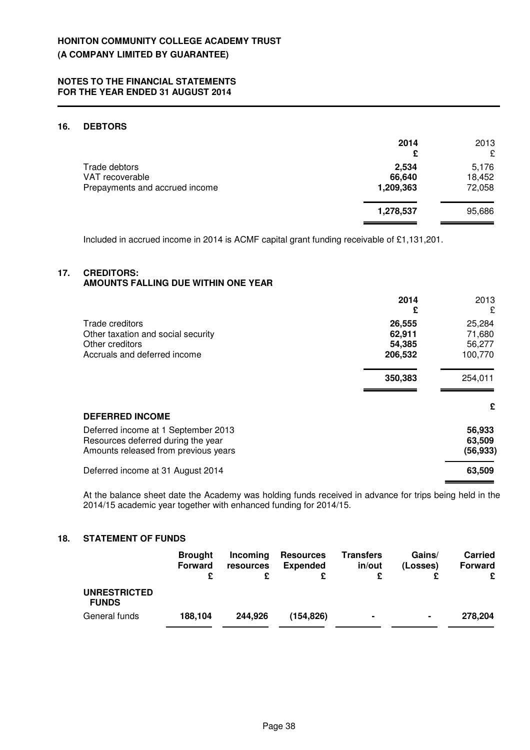### **16. DEBTORS**

|                                                                    | 2014<br>£                    | 2013<br>£                 |
|--------------------------------------------------------------------|------------------------------|---------------------------|
| Trade debtors<br>VAT recoverable<br>Prepayments and accrued income | 2,534<br>66,640<br>1,209,363 | 5,176<br>18,452<br>72,058 |
|                                                                    | 1,278,537                    | 95,686                    |

Included in accrued income in 2014 is ACMF capital grant funding receivable of £1,131,201.

#### **17. CREDITORS:**

### **AMOUNTS FALLING DUE WITHIN ONE YEAR**

|                                                                                                                   | 2014<br>£                             | 2013<br>£                             |
|-------------------------------------------------------------------------------------------------------------------|---------------------------------------|---------------------------------------|
| Trade creditors<br>Other taxation and social security<br>Other creditors<br>Accruals and deferred income          | 26,555<br>62,911<br>54,385<br>206,532 | 25,284<br>71,680<br>56,277<br>100,770 |
|                                                                                                                   | 350,383                               | 254,011                               |
| <b>DEFERRED INCOME</b>                                                                                            |                                       | £                                     |
| Deferred income at 1 September 2013<br>Resources deferred during the year<br>Amounts released from previous years |                                       | 56,933<br>63,509<br>(56, 933)         |
| Deferred income at 31 August 2014                                                                                 |                                       | 63,509                                |

At the balance sheet date the Academy was holding funds received in advance for trips being held in the 2014/15 academic year together with enhanced funding for 2014/15.

### **18. STATEMENT OF FUNDS**

|                                     | <b>Brought</b><br><b>Forward</b> | Incoming<br>resources | <b>Resources</b><br><b>Expended</b> | <b>Transfers</b><br>in/out | Gains/<br>(Losses) | <b>Carried</b><br><b>Forward</b><br>£ |
|-------------------------------------|----------------------------------|-----------------------|-------------------------------------|----------------------------|--------------------|---------------------------------------|
| <b>UNRESTRICTED</b><br><b>FUNDS</b> |                                  |                       |                                     |                            |                    |                                       |
| General funds                       | 188,104                          | 244.926               | (154,826)                           | $\blacksquare$             | $\blacksquare$     | 278,204                               |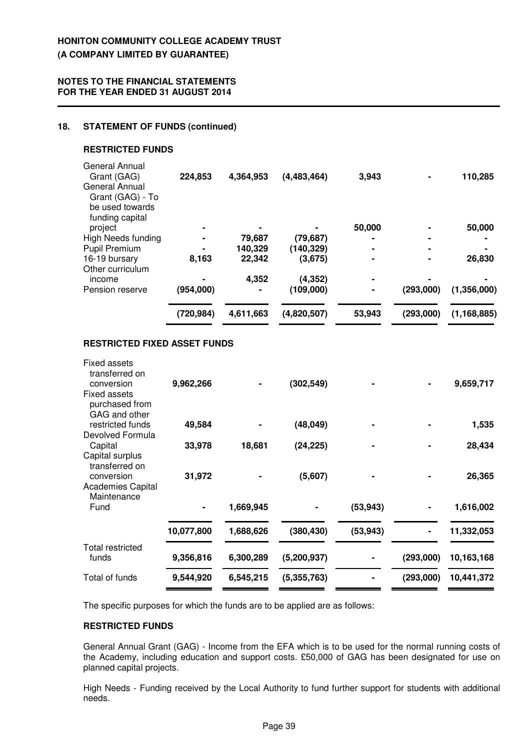### **NOTES TO THE FINANCIAL STATEMENTS FOR THE YEAR ENDED 31 AUGUST 2014**

### **18. STATEMENT OF FUNDS (continued)**

#### **RESTRICTED FUNDS**

|                                                                          | (720, 984) | 4,611,663 | (4,820,507) | 53,943         | (293,000) | (1, 168, 885) |
|--------------------------------------------------------------------------|------------|-----------|-------------|----------------|-----------|---------------|
| Pension reserve                                                          | (954,000)  |           | (109,000)   | $\blacksquare$ | (293,000) | (1,356,000)   |
| Other curriculum<br>income                                               |            | 4,352     | (4, 352)    |                |           |               |
| 16-19 bursary                                                            | 8,163      | 22,342    | (3,675)     | ۰              |           | 26,830        |
| Pupil Premium                                                            |            | 140,329   | (140, 329)  |                |           |               |
| project<br>High Needs funding                                            |            | 79,687    | (79, 687)   | 50,000         |           | 50,000        |
| General Annual<br>Grant (GAG) - To<br>be used towards<br>funding capital |            |           |             |                |           |               |
| General Annual<br>Grant (GAG)                                            | 224,853    | 4,364,953 | (4,483,464) | 3,943          |           | 110,285       |

### **RESTRICTED FIXED ASSET FUNDS**

| Fixed assets<br>transferred on                         |            |           |             |           |           |            |
|--------------------------------------------------------|------------|-----------|-------------|-----------|-----------|------------|
| conversion                                             | 9,962,266  |           | (302, 549)  |           |           | 9,659,717  |
| <b>Fixed assets</b><br>purchased from<br>GAG and other |            |           |             |           |           |            |
| restricted funds                                       | 49,584     |           | (48, 049)   |           |           | 1,535      |
| Devolved Formula                                       |            |           |             |           |           |            |
| Capital                                                | 33,978     | 18,681    | (24, 225)   |           |           | 28,434     |
| Capital surplus<br>transferred on                      |            |           |             |           |           |            |
| conversion                                             | 31,972     |           | (5,607)     |           |           | 26,365     |
| <b>Academies Capital</b><br>Maintenance                |            |           |             |           |           |            |
| Fund                                                   |            | 1,669,945 |             | (53, 943) |           | 1,616,002  |
|                                                        | 10,077,800 | 1,688,626 | (380, 430)  | (53, 943) |           | 11,332,053 |
| Total restricted                                       |            |           |             |           |           |            |
| funds                                                  | 9,356,816  | 6,300,289 | (5,200,937) |           | (293,000) | 10,163,168 |
| Total of funds                                         | 9,544,920  | 6,545,215 | (5,355,763) |           | (293,000) | 10,441,372 |

The specific purposes for which the funds are to be applied are as follows:

### **RESTRICTED FUNDS**

General Annual Grant (GAG) - Income from the EFA which is to be used for the normal running costs of the Academy, including education and support costs. £50,000 of GAG has been designated for use on planned capital projects.

High Needs - Funding received by the Local Authority to fund further support for students with additional needs.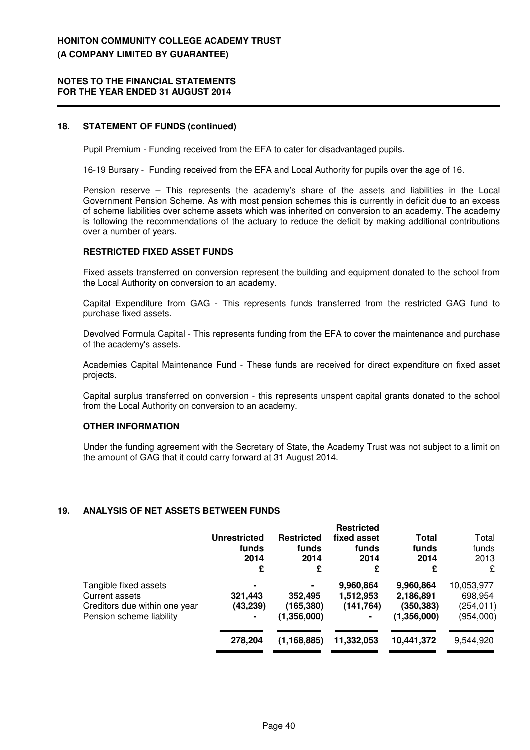#### **NOTES TO THE FINANCIAL STATEMENTS FOR THE YEAR ENDED 31 AUGUST 2014**

#### **18. STATEMENT OF FUNDS (continued)**

Pupil Premium - Funding received from the EFA to cater for disadvantaged pupils.

16-19 Bursary - Funding received from the EFA and Local Authority for pupils over the age of 16.

Pension reserve – This represents the academy's share of the assets and liabilities in the Local Government Pension Scheme. As with most pension schemes this is currently in deficit due to an excess of scheme liabilities over scheme assets which was inherited on conversion to an academy. The academy is following the recommendations of the actuary to reduce the deficit by making additional contributions over a number of years.

### **RESTRICTED FIXED ASSET FUNDS**

Fixed assets transferred on conversion represent the building and equipment donated to the school from the Local Authority on conversion to an academy.

Capital Expenditure from GAG - This represents funds transferred from the restricted GAG fund to purchase fixed assets.

Devolved Formula Capital - This represents funding from the EFA to cover the maintenance and purchase of the academy's assets.

Academies Capital Maintenance Fund - These funds are received for direct expenditure on fixed asset projects.

Capital surplus transferred on conversion - this represents unspent capital grants donated to the school from the Local Authority on conversion to an academy.

### **OTHER INFORMATION**

Under the funding agreement with the Secretary of State, the Academy Trust was not subject to a limit on the amount of GAG that it could carry forward at 31 August 2014.

### **19. ANALYSIS OF NET ASSETS BETWEEN FUNDS**

|                                                                                                      | <b>Unrestricted</b><br>funds<br>2014<br>£ | <b>Restricted</b><br>funds<br>2014<br>£ | <b>Restricted</b><br>fixed asset<br>funds<br>2014<br>£ | Total<br>funds<br>2014<br>£                         | Total<br>funds<br>2013<br>£                      |
|------------------------------------------------------------------------------------------------------|-------------------------------------------|-----------------------------------------|--------------------------------------------------------|-----------------------------------------------------|--------------------------------------------------|
| Tangible fixed assets<br>Current assets<br>Creditors due within one year<br>Pension scheme liability | ۰<br>321,443<br>(43,239)<br>۰             | 352,495<br>(165, 380)<br>(1,356,000)    | 9,960,864<br>1,512,953<br>(141, 764)<br>$\blacksquare$ | 9,960,864<br>2,186,891<br>(350, 383)<br>(1,356,000) | 10,053,977<br>698,954<br>(254, 011)<br>(954,000) |
|                                                                                                      | 278,204                                   | (1, 168, 885)                           | 11,332,053                                             | 10,441,372                                          | 9,544,920                                        |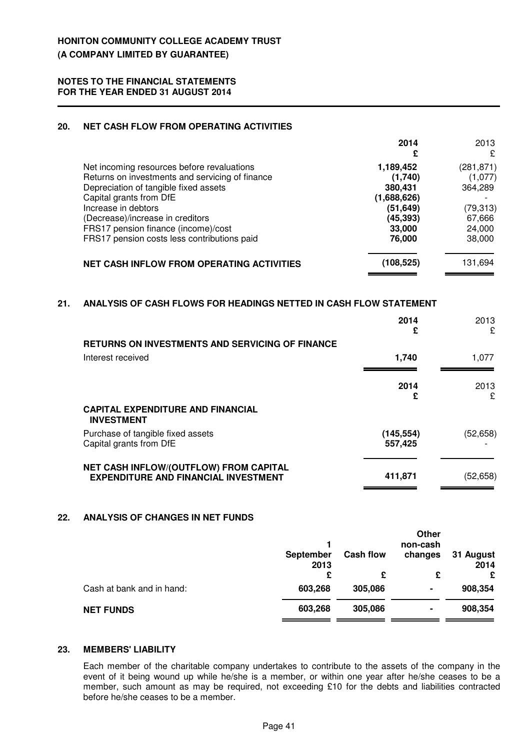#### **20. NET CASH FLOW FROM OPERATING ACTIVITIES**

| 2014        | 2013       |
|-------------|------------|
| £           | £          |
| 1,189,452   | (281, 871) |
| (1,740)     | (1,077)    |
| 380,431     | 364,289    |
| (1,688,626) |            |
| (51,649)    | (79, 313)  |
| (45, 393)   | 67,666     |
| 33,000      | 24,000     |
| 76,000      | 38,000     |
| (108,525)   | 131,694    |
|             |            |

### **21. ANALYSIS OF CASH FLOWS FOR HEADINGS NETTED IN CASH FLOW STATEMENT**

|                                                               | 2014<br>£  | 2013<br>£ |
|---------------------------------------------------------------|------------|-----------|
| <b>RETURNS ON INVESTMENTS AND SERVICING OF FINANCE</b>        |            |           |
| Interest received                                             | 1.740      | 1,077     |
|                                                               |            |           |
|                                                               | 2014       | 2013      |
|                                                               | £          | £         |
| <b>CAPITAL EXPENDITURE AND FINANCIAL</b><br><b>INVESTMENT</b> |            |           |
| Purchase of tangible fixed assets                             | (145, 554) | (52, 658) |
| Capital grants from DfE                                       | 557,425    |           |
| NET CASH INFLOW/(OUTFLOW) FROM CAPITAL                        |            |           |
| <b>EXPENDITURE AND FINANCIAL INVESTMENT</b>                   | 411,871    | (52,658)  |

### **22. ANALYSIS OF CHANGES IN NET FUNDS**

|                           |                          |                  | Other<br>non-cash |                   |
|---------------------------|--------------------------|------------------|-------------------|-------------------|
|                           | <b>September</b><br>2013 | <b>Cash flow</b> | changes           | 31 August<br>2014 |
|                           | £                        | £                | £                 | £                 |
| Cash at bank and in hand: | 603,268                  | 305,086          | ۰                 | 908,354           |
| <b>NET FUNDS</b>          | 603,268                  | 305,086          | ۰                 | 908,354           |

### **23. MEMBERS' LIABILITY**

Each member of the charitable company undertakes to contribute to the assets of the company in the event of it being wound up while he/she is a member, or within one year after he/she ceases to be a member, such amount as may be required, not exceeding £10 for the debts and liabilities contracted before he/she ceases to be a member.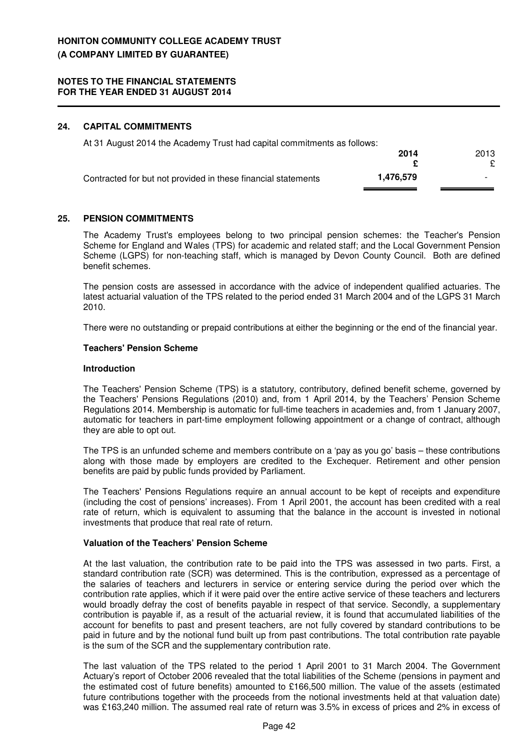### **24. CAPITAL COMMITMENTS**

| At 31 August 2014 the Academy Trust had capital commitments as follows: |           |                          |
|-------------------------------------------------------------------------|-----------|--------------------------|
|                                                                         | 2014      | 2013                     |
|                                                                         |           |                          |
| Contracted for but not provided in these financial statements           | 1.476.579 | $\overline{\phantom{0}}$ |

### **25. PENSION COMMITMENTS**

The Academy Trust's employees belong to two principal pension schemes: the Teacher's Pension Scheme for England and Wales (TPS) for academic and related staff; and the Local Government Pension Scheme (LGPS) for non-teaching staff, which is managed by Devon County Council. Both are defined benefit schemes.

The pension costs are assessed in accordance with the advice of independent qualified actuaries. The latest actuarial valuation of the TPS related to the period ended 31 March 2004 and of the LGPS 31 March 2010.

There were no outstanding or prepaid contributions at either the beginning or the end of the financial year.

#### **Teachers' Pension Scheme**

#### **Introduction**

The Teachers' Pension Scheme (TPS) is a statutory, contributory, defined benefit scheme, governed by the Teachers' Pensions Regulations (2010) and, from 1 April 2014, by the Teachers' Pension Scheme Regulations 2014. Membership is automatic for full-time teachers in academies and, from 1 January 2007, automatic for teachers in part-time employment following appointment or a change of contract, although they are able to opt out.

The TPS is an unfunded scheme and members contribute on a 'pay as you go' basis – these contributions along with those made by employers are credited to the Exchequer. Retirement and other pension benefits are paid by public funds provided by Parliament.

The Teachers' Pensions Regulations require an annual account to be kept of receipts and expenditure (including the cost of pensions' increases). From 1 April 2001, the account has been credited with a real rate of return, which is equivalent to assuming that the balance in the account is invested in notional investments that produce that real rate of return.

### **Valuation of the Teachers' Pension Scheme**

At the last valuation, the contribution rate to be paid into the TPS was assessed in two parts. First, a standard contribution rate (SCR) was determined. This is the contribution, expressed as a percentage of the salaries of teachers and lecturers in service or entering service during the period over which the contribution rate applies, which if it were paid over the entire active service of these teachers and lecturers would broadly defray the cost of benefits payable in respect of that service. Secondly, a supplementary contribution is payable if, as a result of the actuarial review, it is found that accumulated liabilities of the account for benefits to past and present teachers, are not fully covered by standard contributions to be paid in future and by the notional fund built up from past contributions. The total contribution rate payable is the sum of the SCR and the supplementary contribution rate.

The last valuation of the TPS related to the period 1 April 2001 to 31 March 2004. The Government Actuary's report of October 2006 revealed that the total liabilities of the Scheme (pensions in payment and the estimated cost of future benefits) amounted to £166,500 million. The value of the assets (estimated future contributions together with the proceeds from the notional investments held at that valuation date) was £163,240 million. The assumed real rate of return was 3.5% in excess of prices and 2% in excess of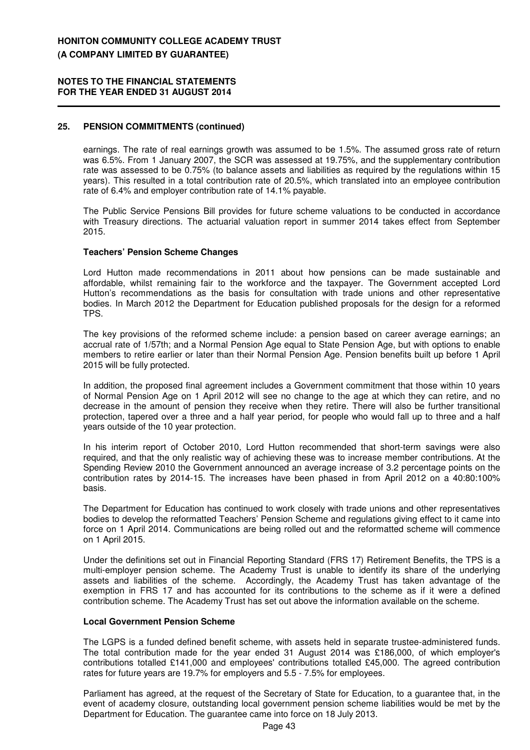#### **NOTES TO THE FINANCIAL STATEMENTS FOR THE YEAR ENDED 31 AUGUST 2014**

### **25. PENSION COMMITMENTS (continued)**

earnings. The rate of real earnings growth was assumed to be 1.5%. The assumed gross rate of return was 6.5%. From 1 January 2007, the SCR was assessed at 19.75%, and the supplementary contribution rate was assessed to be 0.75% (to balance assets and liabilities as required by the regulations within 15 years). This resulted in a total contribution rate of 20.5%, which translated into an employee contribution rate of 6.4% and employer contribution rate of 14.1% payable.

The Public Service Pensions Bill provides for future scheme valuations to be conducted in accordance with Treasury directions. The actuarial valuation report in summer 2014 takes effect from September 2015.

#### **Teachers' Pension Scheme Changes**

Lord Hutton made recommendations in 2011 about how pensions can be made sustainable and affordable, whilst remaining fair to the workforce and the taxpayer. The Government accepted Lord Hutton's recommendations as the basis for consultation with trade unions and other representative bodies. In March 2012 the Department for Education published proposals for the design for a reformed TPS.

The key provisions of the reformed scheme include: a pension based on career average earnings; an accrual rate of 1/57th; and a Normal Pension Age equal to State Pension Age, but with options to enable members to retire earlier or later than their Normal Pension Age. Pension benefits built up before 1 April 2015 will be fully protected.

In addition, the proposed final agreement includes a Government commitment that those within 10 years of Normal Pension Age on 1 April 2012 will see no change to the age at which they can retire, and no decrease in the amount of pension they receive when they retire. There will also be further transitional protection, tapered over a three and a half year period, for people who would fall up to three and a half years outside of the 10 year protection.

In his interim report of October 2010, Lord Hutton recommended that short-term savings were also required, and that the only realistic way of achieving these was to increase member contributions. At the Spending Review 2010 the Government announced an average increase of 3.2 percentage points on the contribution rates by 2014-15. The increases have been phased in from April 2012 on a 40:80:100% basis.

The Department for Education has continued to work closely with trade unions and other representatives bodies to develop the reformatted Teachers' Pension Scheme and regulations giving effect to it came into force on 1 April 2014. Communications are being rolled out and the reformatted scheme will commence on 1 April 2015.

Under the definitions set out in Financial Reporting Standard (FRS 17) Retirement Benefits, the TPS is a multi-employer pension scheme. The Academy Trust is unable to identify its share of the underlying assets and liabilities of the scheme. Accordingly, the Academy Trust has taken advantage of the exemption in FRS 17 and has accounted for its contributions to the scheme as if it were a defined contribution scheme. The Academy Trust has set out above the information available on the scheme.

#### **Local Government Pension Scheme**

The LGPS is a funded defined benefit scheme, with assets held in separate trustee-administered funds. The total contribution made for the year ended 31 August 2014 was £186,000, of which employer's contributions totalled £141,000 and employees' contributions totalled £45,000. The agreed contribution rates for future years are 19.7% for employers and 5.5 - 7.5% for employees.

Parliament has agreed, at the request of the Secretary of State for Education, to a guarantee that, in the event of academy closure, outstanding local government pension scheme liabilities would be met by the Department for Education. The guarantee came into force on 18 July 2013.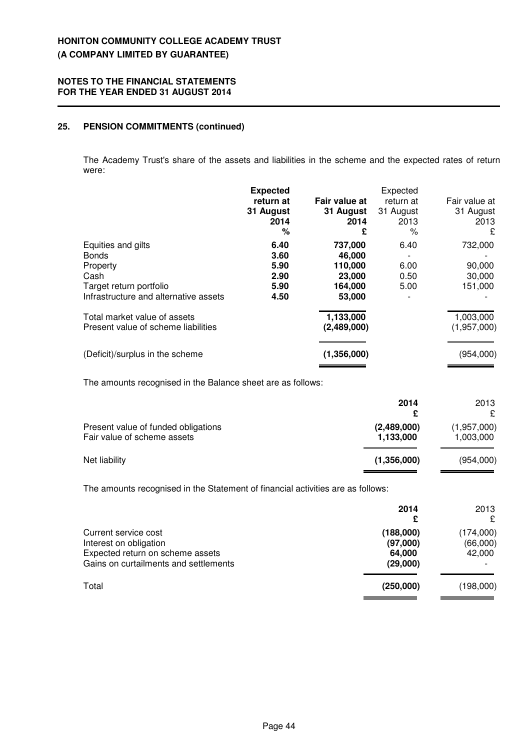### **25. PENSION COMMITMENTS (continued)**

The Academy Trust's share of the assets and liabilities in the scheme and the expected rates of return were:

|                                                                          | <b>Expected</b><br>return at<br>31 August<br>2014<br>% | Fair value at<br>31 August<br>2014<br>£ | Expected<br>return at<br>31 August<br>2013<br>℅ | Fair value at<br>31 August<br>2013<br>£ |
|--------------------------------------------------------------------------|--------------------------------------------------------|-----------------------------------------|-------------------------------------------------|-----------------------------------------|
| Equities and gilts<br><b>Bonds</b><br>Property                           | 6.40<br>3.60<br>5.90                                   | 737,000<br>46,000<br>110,000            | 6.40<br>6.00                                    | 732,000<br>90,000                       |
| Cash<br>Target return portfolio<br>Infrastructure and alternative assets | 2.90<br>5.90<br>4.50                                   | 23,000<br>164,000<br>53,000             | 0.50<br>5.00                                    | 30,000<br>151,000                       |
| Total market value of assets<br>Present value of scheme liabilities      |                                                        | 1,133,000<br>(2,489,000)                |                                                 | 1,003,000<br>(1,957,000)                |
| (Deficit)/surplus in the scheme                                          |                                                        | (1,356,000)                             |                                                 | (954,000)                               |

The amounts recognised in the Balance sheet are as follows:

|                                                                    | 2014<br>£                | 2013<br>£                |
|--------------------------------------------------------------------|--------------------------|--------------------------|
| Present value of funded obligations<br>Fair value of scheme assets | (2,489,000)<br>1,133,000 | (1,957,000)<br>1,003,000 |
| Net liability                                                      | (1,356,000)              | (954,000)                |

The amounts recognised in the Statement of financial activities are as follows:

|                                                                                                                             | 2014<br>£                                   | 2013<br>£                       |
|-----------------------------------------------------------------------------------------------------------------------------|---------------------------------------------|---------------------------------|
| Current service cost<br>Interest on obligation<br>Expected return on scheme assets<br>Gains on curtailments and settlements | (188,000)<br>(97,000)<br>64.000<br>(29,000) | (174,000)<br>(66,000)<br>42,000 |
| Total                                                                                                                       | (250,000)                                   | (198,000)                       |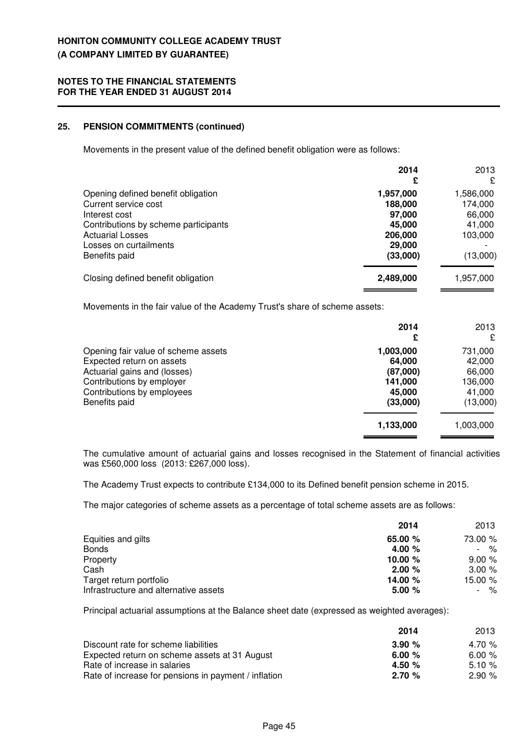### **25. PENSION COMMITMENTS (continued)**

Movements in the present value of the defined benefit obligation were as follows:

|                                                                                                                                                                                           | 2014                                                                      | 2013<br>£                                                       |
|-------------------------------------------------------------------------------------------------------------------------------------------------------------------------------------------|---------------------------------------------------------------------------|-----------------------------------------------------------------|
| Opening defined benefit obligation<br>Current service cost<br>Interest cost<br>Contributions by scheme participants<br><b>Actuarial Losses</b><br>Losses on curtailments<br>Benefits paid | 1,957,000<br>188,000<br>97,000<br>45,000<br>206,000<br>29,000<br>(33,000) | 1,586,000<br>174,000<br>66,000<br>41,000<br>103,000<br>(13,000) |
| Closing defined benefit obligation                                                                                                                                                        | 2,489,000                                                                 | 1,957,000                                                       |

Movements in the fair value of the Academy Trust's share of scheme assets:

|                                     | 2014<br>£ | 2013<br>£ |
|-------------------------------------|-----------|-----------|
| Opening fair value of scheme assets | 1,003,000 | 731,000   |
| Expected return on assets           | 64,000    | 42,000    |
| Actuarial gains and (losses)        | (87,000)  | 66,000    |
| Contributions by employer           | 141.000   | 136,000   |
| Contributions by employees          | 45,000    | 41,000    |
| Benefits paid                       | (33,000)  | (13,000)  |
|                                     | 1,133,000 | 1,003,000 |

The cumulative amount of actuarial gains and losses recognised in the Statement of financial activities was £560,000 loss (2013: £267,000 loss).

The Academy Trust expects to contribute £134,000 to its Defined benefit pension scheme in 2015.

The major categories of scheme assets as a percentage of total scheme assets are as follows:

|                                       | 2014      | 2013    |
|---------------------------------------|-----------|---------|
| Equities and gilts                    | 65.00 %   | 73.00 % |
| <b>Bonds</b>                          | 4.00 $%$  | $\%$    |
| Property                              | 10.00 $%$ | 9.00%   |
| Cash                                  | 2.00%     | 3.00%   |
| Target return portfolio               | 14.00 %   | 15.00 % |
| Infrastructure and alternative assets | 5.00%     | %       |

Principal actuarial assumptions at the Balance sheet date (expressed as weighted averages):

|                                                      | 2014     | 2013     |
|------------------------------------------------------|----------|----------|
| Discount rate for scheme liabilities                 | 3.90%    | 4.70 $%$ |
| Expected return on scheme assets at 31 August        | 6.00 $%$ | 6.00%    |
| Rate of increase in salaries                         | 4.50 $%$ | 5.10%    |
| Rate of increase for pensions in payment / inflation | 2.70%    | 2.90%    |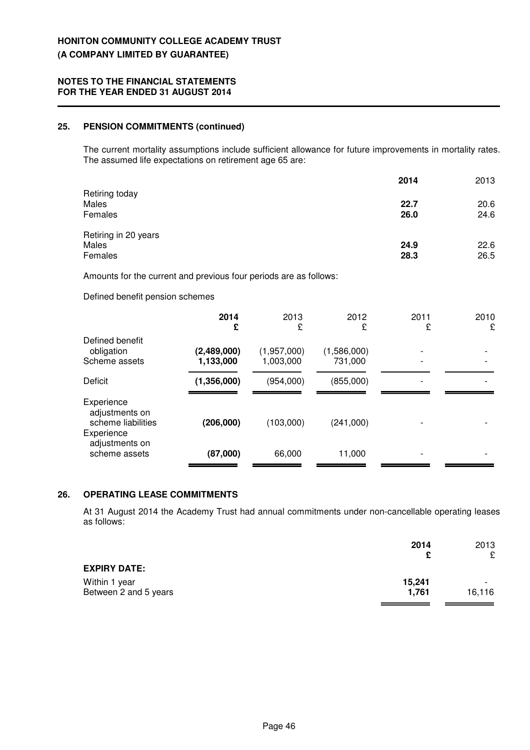### **25. PENSION COMMITMENTS (continued)**

The current mortality assumptions include sufficient allowance for future improvements in mortality rates. The assumed life expectations on retirement age 65 are:

|                      | 2014 | 2013 |
|----------------------|------|------|
| Retiring today       |      |      |
| Males                | 22.7 | 20.6 |
| Females              | 26.0 | 24.6 |
| Retiring in 20 years |      |      |
| Males                | 24.9 | 22.6 |
| Females              | 28.3 | 26.5 |

Amounts for the current and previous four periods are as follows:

Defined benefit pension schemes

|                                                                                                     | 2014<br>£                | 2013<br>£                | 2012<br>£              | 2011<br>£ | 2010<br>£ |
|-----------------------------------------------------------------------------------------------------|--------------------------|--------------------------|------------------------|-----------|-----------|
| Defined benefit<br>obligation<br>Scheme assets                                                      | (2,489,000)<br>1,133,000 | (1,957,000)<br>1,003,000 | (1,586,000)<br>731,000 |           |           |
| Deficit                                                                                             | (1,356,000)              | (954,000)                | (855,000)              |           |           |
| Experience<br>adjustments on<br>scheme liabilities<br>Experience<br>adjustments on<br>scheme assets | (206,000)<br>(87,000)    | (103,000)<br>66,000      | (241,000)<br>11,000    |           |           |

### **26. OPERATING LEASE COMMITMENTS**

At 31 August 2014 the Academy Trust had annual commitments under non-cancellable operating leases as follows:

|                       | 2014   | 2013                     |
|-----------------------|--------|--------------------------|
|                       | c      | £                        |
| <b>EXPIRY DATE:</b>   |        |                          |
| Within 1 year         | 15,241 | $\overline{\phantom{0}}$ |
| Between 2 and 5 years | 1.761  | 16.116                   |